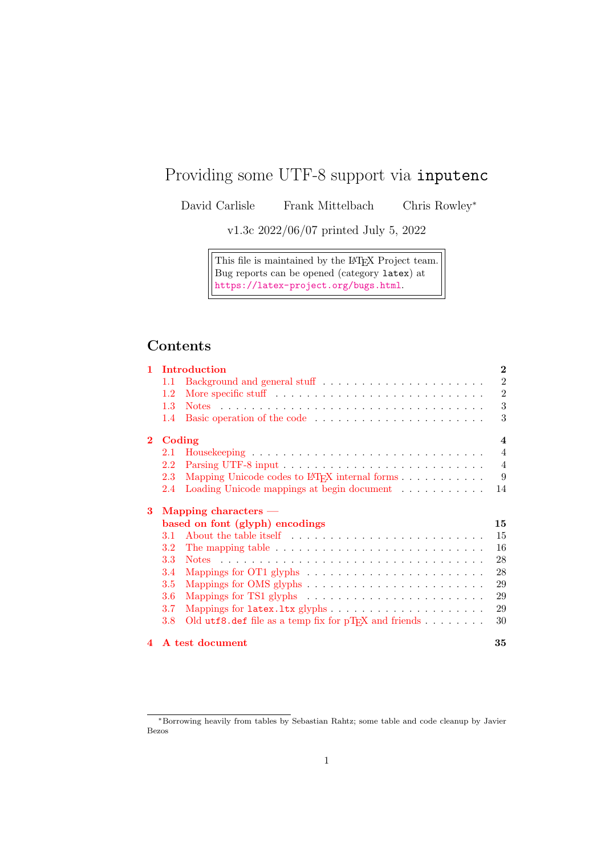# Providing some UTF-8 support via inputenc

David Carlisle Frank Mittelbach Chris Rowley<sup>∗</sup>

v1.3c 2022/06/07 printed July 5, 2022

This file is maintained by the L<sup>AT</sup>EX Project team. Bug reports can be opened (category latex) at <https://latex-project.org/bugs.html>.

## **Contents**

| 1            | Introduction           |                                                                                       |                |  |  |
|--------------|------------------------|---------------------------------------------------------------------------------------|----------------|--|--|
|              | 1.1                    |                                                                                       | $\overline{2}$ |  |  |
|              | 1.2                    |                                                                                       | $\overline{2}$ |  |  |
|              | 1.3                    |                                                                                       | 3              |  |  |
|              | 1.4                    |                                                                                       | 3              |  |  |
| $\mathbf{2}$ | Coding                 |                                                                                       |                |  |  |
|              | 2.1                    |                                                                                       | $\overline{4}$ |  |  |
|              | 2.2                    |                                                                                       | $\overline{4}$ |  |  |
|              | 2.3                    |                                                                                       | 9              |  |  |
|              | 2.4                    | Loading Unicode mappings at begin document                                            | 14             |  |  |
| 3            | Mapping characters $-$ |                                                                                       |                |  |  |
|              |                        | based on font (glyph) encodings                                                       | 15             |  |  |
|              | 3.1                    |                                                                                       | 15             |  |  |
|              | 3.2                    | The mapping table $\dots \dots \dots \dots \dots \dots \dots \dots \dots \dots \dots$ | 16             |  |  |
|              | 3.3                    |                                                                                       | 28             |  |  |
|              | 3.4                    | Mappings for OT1 glyphs $\ldots \ldots \ldots \ldots \ldots \ldots \ldots$            | 28             |  |  |
|              | 3.5                    |                                                                                       | 29             |  |  |
|              | 3.6                    |                                                                                       | 29             |  |  |
|              | 3.7                    |                                                                                       | 29             |  |  |
|              | 3.8                    | Old utf8.def file as a temp fix for $pT_FX$ and friends                               | 30             |  |  |
| 4            |                        | A test document                                                                       | 35             |  |  |

<sup>∗</sup>Borrowing heavily from tables by Sebastian Rahtz; some table and code cleanup by Javier Bezos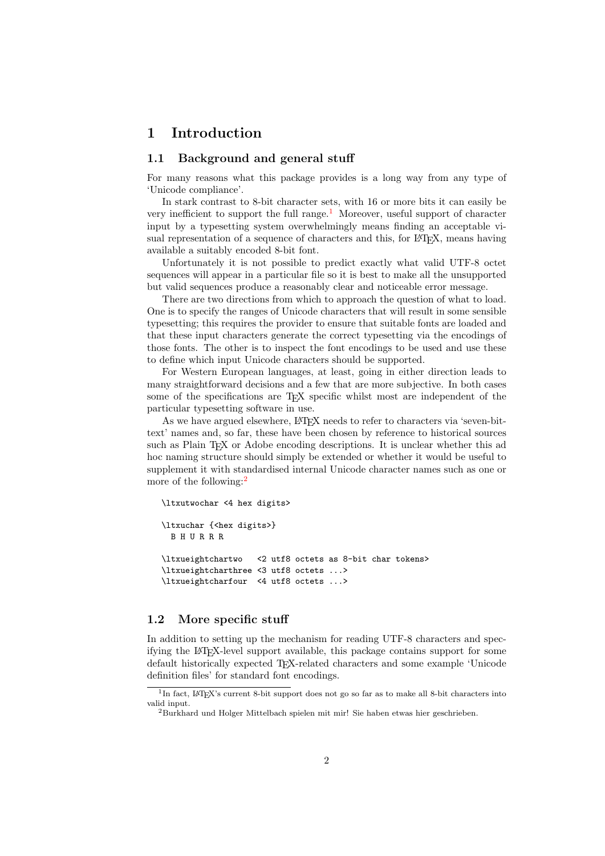## <span id="page-1-0"></span>1 Introduction

#### <span id="page-1-1"></span>1.1 Background and general stuff

For many reasons what this package provides is a long way from any type of 'Unicode compliance'.

In stark contrast to 8-bit character sets, with 16 or more bits it can easily be very inefficient to support the full range. $<sup>1</sup>$  $<sup>1</sup>$  $<sup>1</sup>$  Moreover, useful support of character</sup> input by a typesetting system overwhelmingly means finding an acceptable visual representation of a sequence of characters and this, for LAT<sub>EX</sub>, means having available a suitably encoded 8-bit font.

Unfortunately it is not possible to predict exactly what valid UTF-8 octet sequences will appear in a particular file so it is best to make all the unsupported but valid sequences produce a reasonably clear and noticeable error message.

There are two directions from which to approach the question of what to load. One is to specify the ranges of Unicode characters that will result in some sensible typesetting; this requires the provider to ensure that suitable fonts are loaded and that these input characters generate the correct typesetting via the encodings of those fonts. The other is to inspect the font encodings to be used and use these to define which input Unicode characters should be supported.

For Western European languages, at least, going in either direction leads to many straightforward decisions and a few that are more subjective. In both cases some of the specifications are T<sub>E</sub>X specific whilst most are independent of the particular typesetting software in use.

As we have argued elsewhere, L<sup>AT</sup>FX needs to refer to characters via 'seven-bittext' names and, so far, these have been chosen by reference to historical sources such as Plain T<sub>EX</sub> or Adobe encoding descriptions. It is unclear whether this ad hoc naming structure should simply be extended or whether it would be useful to supplement it with standardised internal Unicode character names such as one or more of the following:<sup>[2](#page-1-4)</sup>

```
\ltxutwochar <4 hex digits>
\ltxuchar {<hex digits>}
 B H U R R R
\ltxueightchartwo <2 utf8 octets as 8-bit char tokens>
\ltxueightcharthree <3 utf8 octets ...>
\ltxueightcharfour <4 utf8 octets ...>
```
## <span id="page-1-2"></span>1.2 More specific stuff

In addition to setting up the mechanism for reading UTF-8 characters and specifying the LATEX-level support available, this package contains support for some default historically expected TEX-related characters and some example 'Unicode definition files' for standard font encodings.

<span id="page-1-3"></span><sup>&</sup>lt;sup>1</sup>In fact, IAT<sub>E</sub>X's current 8-bit support does not go so far as to make all 8-bit characters into valid input.

<span id="page-1-4"></span><sup>2</sup>Burkhard und Holger Mittelbach spielen mit mir! Sie haben etwas hier geschrieben.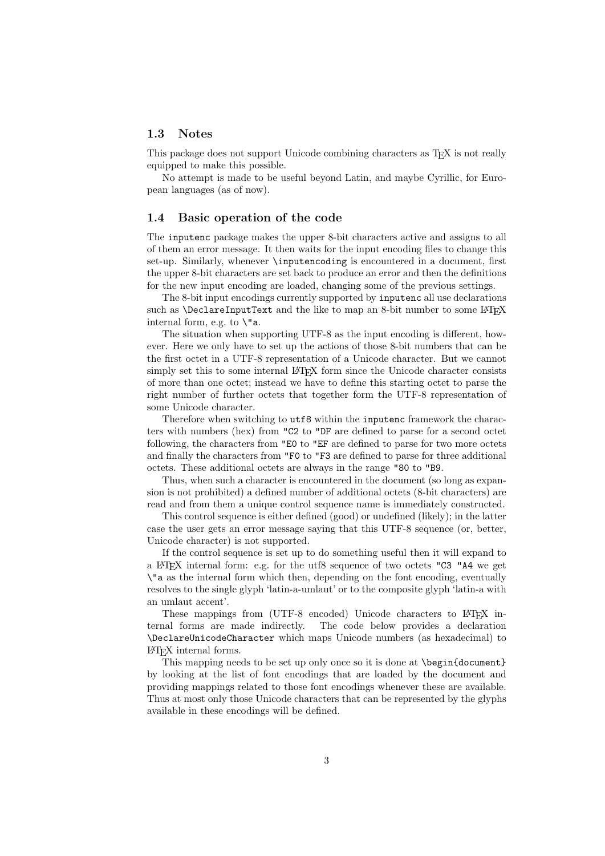#### <span id="page-2-0"></span>1.3 Notes

This package does not support Unicode combining characters as T<sub>E</sub>X is not really equipped to make this possible.

No attempt is made to be useful beyond Latin, and maybe Cyrillic, for European languages (as of now).

#### <span id="page-2-1"></span>1.4 Basic operation of the code

The inputenc package makes the upper 8-bit characters active and assigns to all of them an error message. It then waits for the input encoding files to change this set-up. Similarly, whenever \inputencoding is encountered in a document, first the upper 8-bit characters are set back to produce an error and then the definitions for the new input encoding are loaded, changing some of the previous settings.

The 8-bit input encodings currently supported by inputenc all use declarations such as  $\Delta$  DeclareInputText and the like to map an 8-bit number to some L<sup>AT</sup>EX internal form, e.g. to \"a.

The situation when supporting UTF-8 as the input encoding is different, however. Here we only have to set up the actions of those 8-bit numbers that can be the first octet in a UTF-8 representation of a Unicode character. But we cannot simply set this to some internal LAT<sub>EX</sub> form since the Unicode character consists of more than one octet; instead we have to define this starting octet to parse the right number of further octets that together form the UTF-8 representation of some Unicode character.

Therefore when switching to  $\text{utf8}$  within the inputenc framework the characters with numbers (hex) from "C2 to "DF are defined to parse for a second octet following, the characters from "E0 to "EF are defined to parse for two more octets and finally the characters from "F0 to "F3 are defined to parse for three additional octets. These additional octets are always in the range "80 to "B9.

Thus, when such a character is encountered in the document (so long as expansion is not prohibited) a defined number of additional octets (8-bit characters) are read and from them a unique control sequence name is immediately constructed.

This control sequence is either defined (good) or undefined (likely); in the latter case the user gets an error message saying that this UTF-8 sequence (or, better, Unicode character) is not supported.

If the control sequence is set up to do something useful then it will expand to a LATEX internal form: e.g. for the utf8 sequence of two octets "C3 "A4 we get \"a as the internal form which then, depending on the font encoding, eventually resolves to the single glyph 'latin-a-umlaut' or to the composite glyph 'latin-a with an umlaut accent'.

These mappings from (UTF-8 encoded) Unicode characters to L<sup>AT</sup>EX internal forms are made indirectly. The code below provides a declaration The code below provides a declaration \DeclareUnicodeCharacter which maps Unicode numbers (as hexadecimal) to LATEX internal forms.

This mapping needs to be set up only once so it is done at \begin{document} by looking at the list of font encodings that are loaded by the document and providing mappings related to those font encodings whenever these are available. Thus at most only those Unicode characters that can be represented by the glyphs available in these encodings will be defined.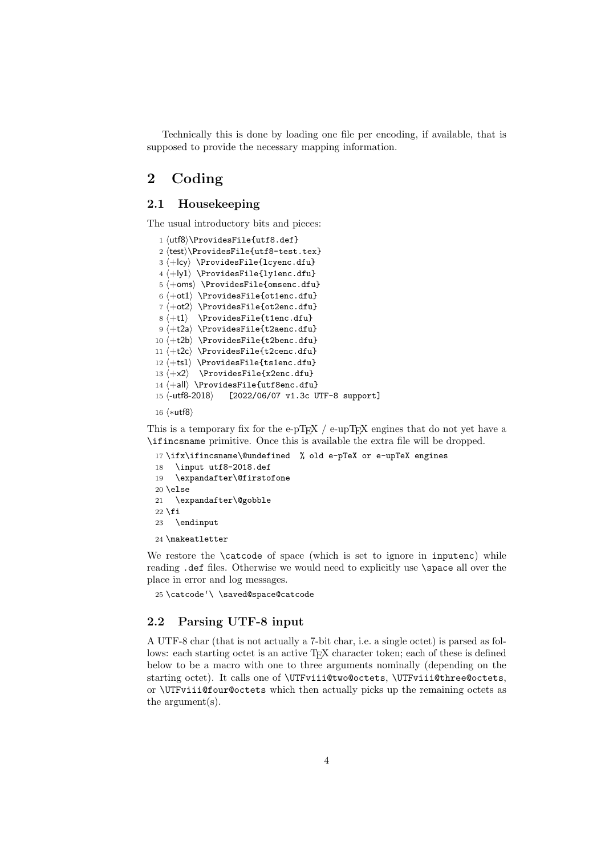Technically this is done by loading one file per encoding, if available, that is supposed to provide the necessary mapping information.

## <span id="page-3-0"></span>2 Coding

### <span id="page-3-1"></span>2.1 Housekeeping

The usual introductory bits and pieces:

```
1 ⟨utf8⟩\ProvidesFile{utf8.def}
 2 ⟨test⟩\ProvidesFile{utf8-test.tex}
 3 ⟨+lcy⟩ \ProvidesFile{lcyenc.dfu}
 4 ⟨+ly1⟩ \ProvidesFile{ly1enc.dfu}
5 ⟨+oms⟩ \ProvidesFile{omsenc.dfu}
6 \leftarrow b1 \ProvidesFile{ot1enc.dfu}
7 \left\langle +\text{o}t2 \right\rangle \ProvidesFile{ot2enc.dfu}
8 ⟨+t1⟩ \ProvidesFile{t1enc.dfu}
9 \langle +t2a \rangle \ProvidesFile{t2aenc.dfu}
10 ⟨+t2b⟩ \ProvidesFile{t2benc.dfu}
11 ⟨+t2c⟩ \ProvidesFile{t2cenc.dfu}
12 ⟨+ts1⟩ \ProvidesFile{ts1enc.dfu}
13 ⟨+x2⟩ \ProvidesFile{x2enc.dfu}
14 ⟨+all⟩ \ProvidesFile{utf8enc.dfu}
15 ⟨-utf8-2018⟩ [2022/06/07 v1.3c UTF-8 support]
```
16 ⟨∗utf8⟩

This is a temporary fix for the e-pT<sub>E</sub>X / e-upT<sub>E</sub>X engines that do not yet have a \ifincsname primitive. Once this is available the extra file will be dropped.

```
17 \ifx\ifincsname\@undefined % old e-pTeX or e-upTeX engines
18 \input utf8-2018.def
19 \expandafter\@firstofone
20 \else
21 \expandafter\@gobble
22 \fi
23 \endinput
24 \makeatletter
```
We restore the **\catcode** of space (which is set to ignore in inputenc) while reading .def files. Otherwise we would need to explicitly use \space all over the place in error and log messages.

```
25 \catcode'\ \saved@space@catcode
```
### <span id="page-3-2"></span>2.2 Parsing UTF-8 input

A UTF-8 char (that is not actually a 7-bit char, i.e. a single octet) is parsed as follows: each starting octet is an active TEX character token; each of these is defined below to be a macro with one to three arguments nominally (depending on the starting octet). It calls one of \UTFviii@two@octets, \UTFviii@three@octets, or \UTFviii@four@octets which then actually picks up the remaining octets as the argument(s).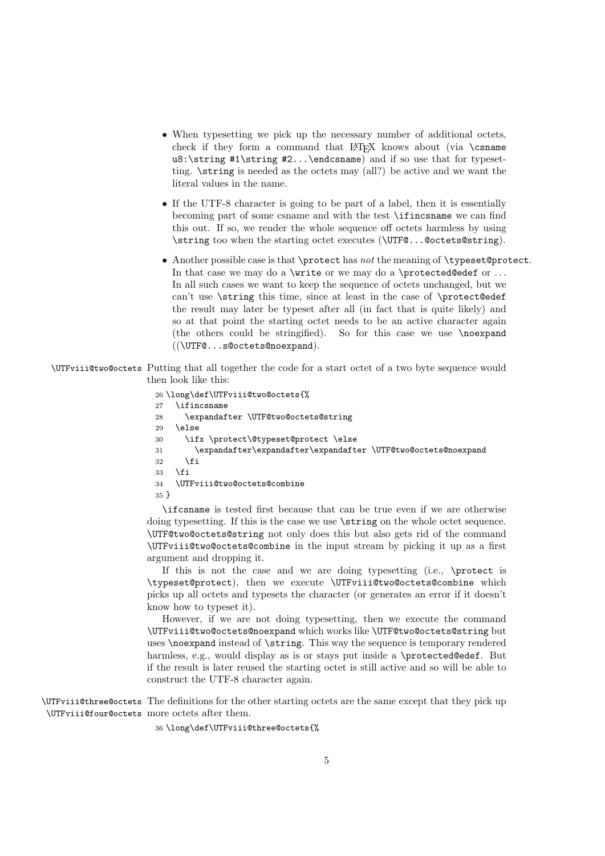- When typesetting we pick up the necessary number of additional octets, check if they form a command that  $\mathbb{F} F X$  knows about (via \csname u8:\string  $\#1\$ string  $\#2...$ \endcsname) and if so use that for typesetting. \string is needed as the octets may (all?) be active and we want the literal values in the name.
- If the UTF-8 character is going to be part of a label, then it is essentially becoming part of some csname and with the test \ifincsname we can find this out. If so, we render the whole sequence off octets harmless by using \string too when the starting octet executes (\UTF@...@octets@string).
- Another possible case is that \protect has not the meaning of \typeset@protect. In that case we may do a  $\write$  or we may do a  $\protect\$ In all such cases we want to keep the sequence of octets unchanged, but we can't use \string this time, since at least in the case of \protect@edef the result may later be typeset after all (in fact that is quite likely) and so at that point the starting octet needs to be an active character again (the others could be stringified). So for this case we use \noexpand ((\UTF@...s@octets@noexpand).

\UTFviii@two@octets Putting that all together the code for a start octet of a two byte sequence would then look like this:

```
26 \long\def\UTFviii@two@octets{%
27 \ifincsname
28 \expandafter \UTF@two@octets@string
29 \else
30 \ifx \protect\@typeset@protect \else
31 \expandafter\expandafter\expandafter \UTF@two@octets@noexpand
32 \fi
33 \fi
34 \UTFviii@two@octets@combine
35 }
```
\ifcsname is tested first because that can be true even if we are otherwise doing typesetting. If this is the case we use \string on the whole octet sequence. \UTF@two@octets@string not only does this but also gets rid of the command \UTFviii@two@octets@combine in the input stream by picking it up as a first argument and dropping it.

If this is not the case and we are doing typesetting (i.e., \protect is \typeset@protect), then we execute \UTFviii@two@octets@combine which picks up all octets and typesets the character (or generates an error if it doesn't know how to typeset it).

However, if we are not doing typesetting, then we execute the command \UTFviii@two@octets@noexpand which works like \UTF@two@octets@string but uses \noexpand instead of \string. This way the sequence is temporary rendered harmless, e.g., would display as is or stays put inside a \protected@edef. But if the result is later reused the starting octet is still active and so will be able to construct the UTF-8 character again.

\UTFviii@three@octets The definitions for the other starting octets are the same except that they pick up \UTFviii@four@octets more octets after them.

36 \long\def\UTFviii@three@octets{%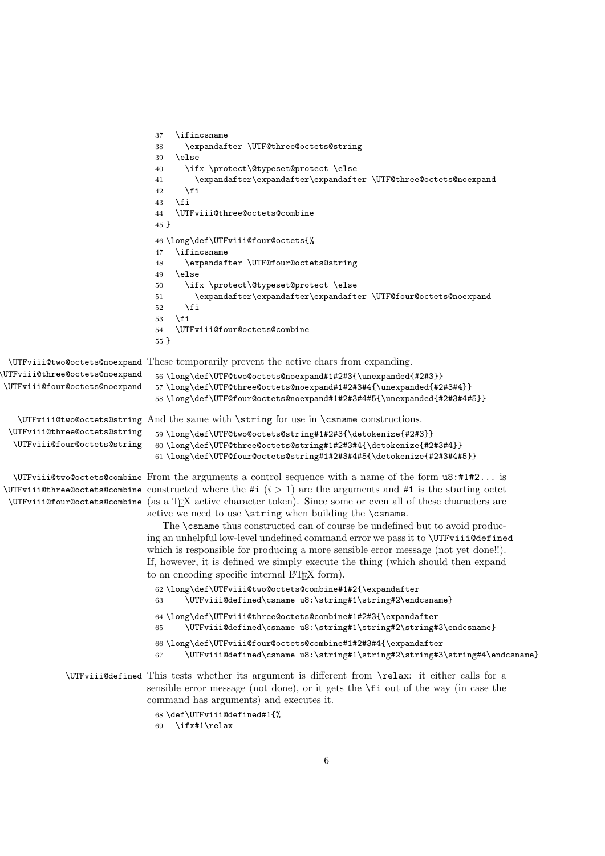```
37 \ifincsname
                                38 \expandafter \UTF@three@octets@string
                                39 \else
                                40 \ifx \protect\@typeset@protect \else
                                41 \expandafter\expandafter\expandafter \UTF@three@octets@noexpand
                                 42 \fi
                                 43 \fi
                                 44 \UTFviii@three@octets@combine
                                45 }
                                46 \long\def\UTFviii@four@octets{%
                                47 \ifincsname
                                48 \expandafter \UTF@four@octets@string
                                 49 \else
                                 50 \ifx \protect\@typeset@protect \else
                                 51 \expandafter\expandafter\expandafter \UTF@four@octets@noexpand
                                 52 \fi
                                 53 \fi
                                 54 \UTFviii@four@octets@combine
                                 55 }
 \UTFviii@two@octets@noexpand
These temporarily prevent the active chars from expanding.
\UTFviii@three@octets@noexpand
\UTFviii@four@octets@noexpand
                                 56 \long\def\UTF@two@octets@noexpand#1#2#3{\unexpanded{#2#3}}
                                57 \long\def\UTF@three@octets@noexpand#1#2#3#4{\unexpanded{#2#3#4}}
                                 58 \long\def\UTF@four@octets@noexpand#1#2#3#4#5{\unexpanded{#2#3#4#5}}
   \UTFviii@two@octets@string
And the same with \string for use in \csname constructions.
 \UTFviii@three@octets@string
  \UTFviii@four@octets@string
                                59 \long\def\UTF@two@octets@string#1#2#3{\detokenize{#2#3}}
                                60 \long\def\UTF@three@octets@string#1#2#3#4{\detokenize{#2#3#4}}
                                61 \long\def\UTF@four@octets@string#1#2#3#4#5{\detokenize{#2#3#4#5}}
  \UTFviii@two@octets@combine
From the arguments a control sequence with a name of the form u8:#1#2... is
\UpsilonTFviii@three@octets@combine constructed where the #i (i > 1) are the arguments and #1 is the starting octet
 \UpsilonUTFviii@four@octets@combine (as a T_{\rm E}X active character token). Since some or even all of these characters are
                               active we need to use \string when building the \csname.
                                  The \csname thus constructed can of course be undefined but to avoid produc-
                               ing an unhelpful low-level undefined command error we pass it to \UTFviii@defined
                               which is responsible for producing a more sensible error message (not yet done!!).
                               If, however, it is defined we simply execute the thing (which should then expand
                               to an encoding specific internal LAT<sub>F</sub>X form).
                                 62 \long\def\UTFviii@two@octets@combine#1#2{\expandafter
                                63 \UTFviii@defined\csname u8:\string#1\string#2\endcsname}
                                 64 \long\def\UTFviii@three@octets@combine#1#2#3{\expandafter
                                65 \UTFviii@defined\csname u8:\string#1\string#2\string#3\endcsname}
                                 66 \long\def\UTFviii@four@octets@combine#1#2#3#4{\expandafter
                                67 \UTFviii@defined\csname u8:\string#1\string#2\string#3\string#4\endcsname}
             \UTFviii@defined This tests whether its argument is different from \relax: it either calls for a
                               sensible error message (not done), or it gets the \fi out of the way (in case the
                               command has arguments) and executes it.
                                 68 \def\UTFviii@defined#1{%
```

```
69 \ifx#1\relax
```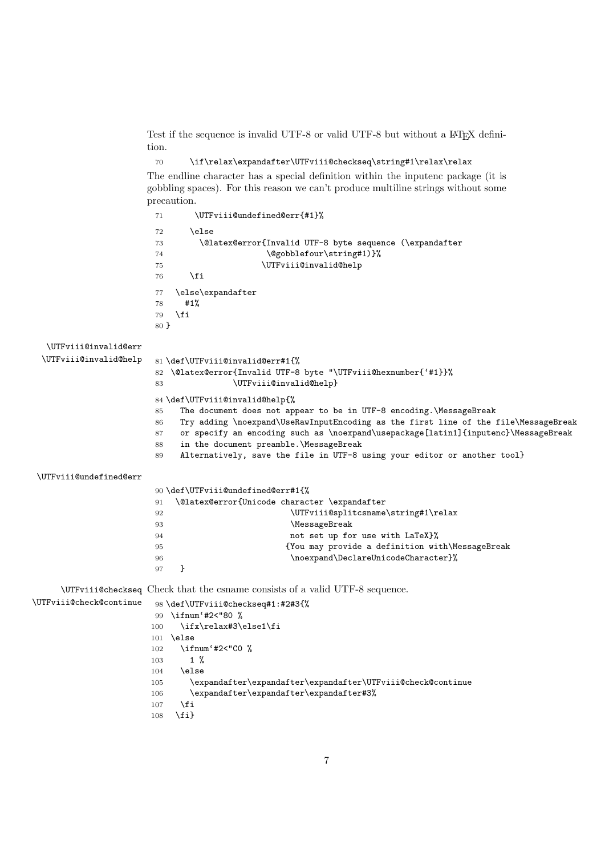Test if the sequence is invalid UTF-8 or valid UTF-8 but without a IAT<sub>E</sub>X definition.

```
70 \if\relax\expandafter\UTFviii@checkseq\string#1\relax\relax
```
The endline character has a special definition within the inputenc package (it is gobbling spaces). For this reason we can't produce multiline strings without some precaution.

|                         | 71<br>\UTFviii@undefined@err{#1}%                                                         |
|-------------------------|-------------------------------------------------------------------------------------------|
|                         | \else<br>72                                                                               |
|                         | \@latex@error{Invalid UTF-8 byte sequence (\expandafter<br>73                             |
|                         | \@gobblefour\string#1)}%<br>74                                                            |
|                         | 75<br>\UTFviii@invalid@help                                                               |
|                         | \fi<br>76                                                                                 |
|                         | \else\expandafter<br>77                                                                   |
|                         | #1%<br>78                                                                                 |
|                         | \fi<br>79                                                                                 |
|                         | 80 }                                                                                      |
|                         |                                                                                           |
| \UTFviii@invalid@err    |                                                                                           |
| \UTFviii@invalid@help   | 81 \def\UTFviii@invalid@err#1{%                                                           |
|                         | \@latex@error{Invalid UTF-8 byte "\UTFviii@hexnumber{'#1}}%<br>82                         |
|                         | \UTFviii@invalid@help}<br>83                                                              |
|                         | 84 \def\UTFviii@invalid@help{%                                                            |
|                         | The document does not appear to be in UTF-8 encoding. MessageBreak<br>85                  |
|                         | Try adding \noexpand\UseRawInputEncoding as the first line of the file\MessageBreak<br>86 |
|                         | or specify an encoding such as \noexpand\usepackage[latin1]{inputenc}\MessageBreak<br>87  |
|                         | in the document preamble. MessageBreak<br>88                                              |
|                         | Alternatively, save the file in UTF-8 using your editor or another tool}<br>89            |
| \UTFviii@undefined@err  |                                                                                           |
|                         |                                                                                           |
|                         | 90 \def\UTFviii@undefined@err#1{%                                                         |
|                         | \@latex@error{Unicode character \expandafter<br>91                                        |
|                         | \UTFviii@splitcsname\string#1\relax<br>92                                                 |
|                         | \MessageBreak<br>93                                                                       |
|                         | not set up for use with LaTeX}%<br>94                                                     |
|                         | {You may provide a definition with\MessageBreak<br>95                                     |
|                         | \noexpand\DeclareUnicodeCharacter}%<br>96                                                 |
|                         | }<br>97                                                                                   |
|                         | \UTFviii@checkseq Check that the csname consists of a valid UTF-8 sequence.               |
| \UTFviii@check@continue | 98 \def\UTFviii@checkseq#1:#2#3{%                                                         |
|                         | \ifnum'#2<"80 %<br>99                                                                     |
|                         | \ifx\relax#3\else1\fi<br>100                                                              |
|                         | \else<br>101                                                                              |
|                         | \ifnum'#2<"CO %<br>102                                                                    |
|                         | $1 \frac{9}{6}$<br>103                                                                    |
|                         | \else<br>104                                                                              |
|                         | \expandafter\expandafter\expandafter\UTFviii@check@continue<br>105                        |
|                         | \expandafter\expandafter\expandafter#3%<br>106                                            |
|                         | \fi<br>107                                                                                |
|                         | $\{fi\}$<br>108                                                                           |
|                         |                                                                                           |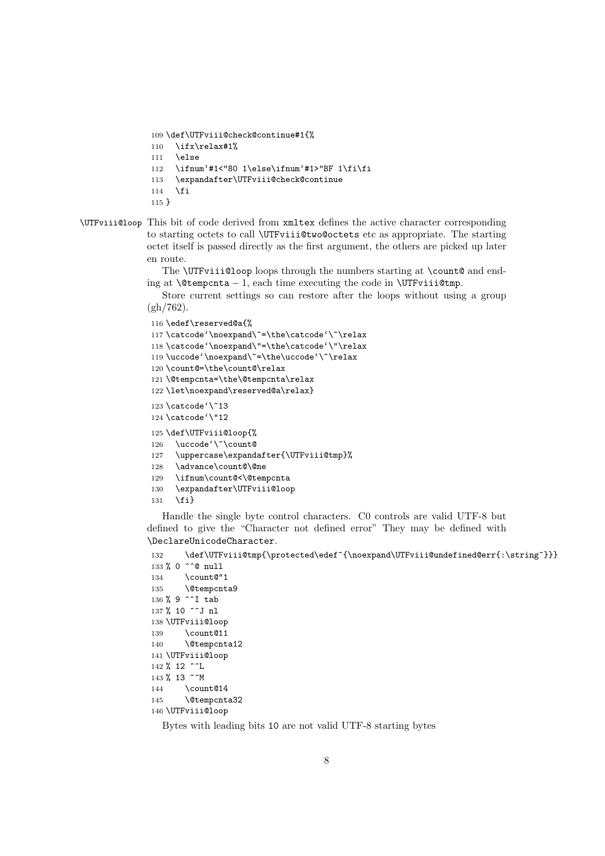```
109 \def\UTFviii@check@continue#1{%
110 \ifx\relax#1%
111 \else
112 \ifnum'#1<"80 1\else\ifnum'#1>"BF 1\fi\fi
113 \expandafter\UTFviii@check@continue
114 \fi
115 }
```
#### \UTFviii@loop This bit of code derived from xmltex defines the active character corresponding to starting octets to call \UTFviii@two@octets etc as appropriate. The starting octet itself is passed directly as the first argument, the others are picked up later en route.

The **\UTFviii@loop** loops through the numbers starting at **\count@** and ending at  $\text{Utempenta} - 1$ , each time executing the code in  $\text{UTFviii@tmp}.$ 

Store current settings so can restore after the loops without using a group (gh/762).

```
116 \edef\reserved@a{%
117\catcode'\noexpand\~=\the\catcode'\~\relax
118 \catcode'\noexpand\"=\the\catcode'\"\relax
119 \uccode'\noexpand\~=\the\uccode'\~\relax
120 \count@=\the\count@\relax
121 \@tempcnta=\the\@tempcnta\relax
122 \let\noexpand\reserved@a\relax}
123 \catcode'\~13
124 \catcode'\"12
125 \def\UTFviii@loop{%
126 \uccode'\~\count@
127 \uppercase\expandafter{\UTFviii@tmp}%
128 \advance\count@\@ne
129 \ifnum\count@<\@tempcnta
130 \expandafter\UTFviii@loop
```
131 \fi}

Handle the single byte control characters. C0 controls are valid UTF-8 but defined to give the "Character not defined error" They may be defined with \DeclareUnicodeCharacter.

```
132 \def\UTFviii@tmp{\protected\edef~{\noexpand\UTFviii@undefined@err{:\string~}}}
133 % 0 ^^@ null
134 \count@"1
135 \@tempcnta9
136 % 9 \simI tab
137 % 10 ^^J nl
138 \UTFviii@loop
139 \count@11
140 \@tempcnta12
141 \UTFviii@loop
142 % 12 \simL
143 % 13 \simM
144 \count@14
145 \@tempcnta32
146 \UTFviii@loop
```
Bytes with leading bits 10 are not valid UTF-8 starting bytes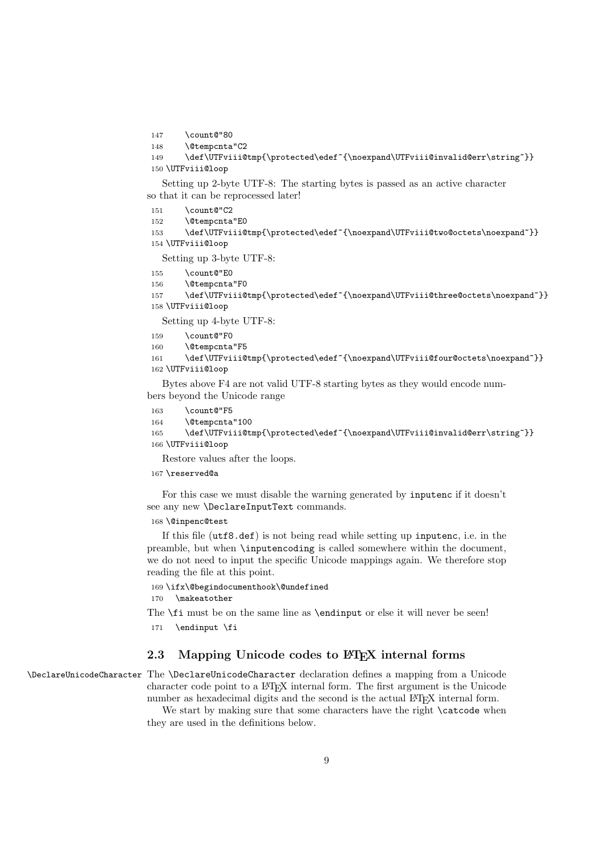147 \count@"80

```
148 \@tempcnta"C2
```

```
149 \def\UTFviii@tmp{\protected\edef~{\noexpand\UTFviii@invalid@err\string~}}
150 \UTFviii@loop
```
Setting up 2-byte UTF-8: The starting bytes is passed as an active character so that it can be reprocessed later!

- $151 \qquad \text{Count@}''C2$
- 152 \@tempcnta"E0

```
153 \def\UTFviii@tmp{\protected\edef~{\noexpand\UTFviii@two@octets\noexpand~}}
154 \UTFviii@loop
```
Setting up 3-byte UTF-8:

- 155 \count@"E0
- 156 \@tempcnta"F0

```
157 \def\UTFviii@tmp{\protected\edef~{\noexpand\UTFviii@three@octets\noexpand~}}
158 \UTFviii@loop
```
Setting up 4-byte UTF-8:

- 159 \count@"F0
- 160 \@tempcnta"F5

```
161 \def\UTFviii@tmp{\protected\edef~{\noexpand\UTFviii@four@octets\noexpand~}}
162 \UTFviii@loop
```
Bytes above F4 are not valid UTF-8 starting bytes as they would encode numbers beyond the Unicode range

- 163 \count@"F5
- 164 \@tempcnta"100

```
165 \def\UTFviii@tmp{\protected\edef~{\noexpand\UTFviii@invalid@err\string~}}
166 \UTFviii@loop
```
Restore values after the loops.

167 \reserved@a

For this case we must disable the warning generated by inputenc if it doesn't see any new \DeclareInputText commands.

168 \@inpenc@test

If this file (utf8.def) is not being read while setting up inputenc, i.e. in the preamble, but when \inputencoding is called somewhere within the document, we do not need to input the specific Unicode mappings again. We therefore stop reading the file at this point.

169 \ifx\@begindocumenthook\@undefined

170 \makeatother

The  $\text{fit}$  must be on the same line as  $\end{split}$  and input or else it will never be seen!

171 \endinput \fi

## <span id="page-8-0"></span>2.3 Mapping Unicode codes to LATEX internal forms

\DeclareUnicodeCharacter The \DeclareUnicodeCharacter declaration defines a mapping from a Unicode character code point to a LATEX internal form. The first argument is the Unicode number as hexadecimal digits and the second is the actual LAT<sub>EX</sub> internal form.

We start by making sure that some characters have the right  $\cdot$  catcode when

they are used in the definitions below.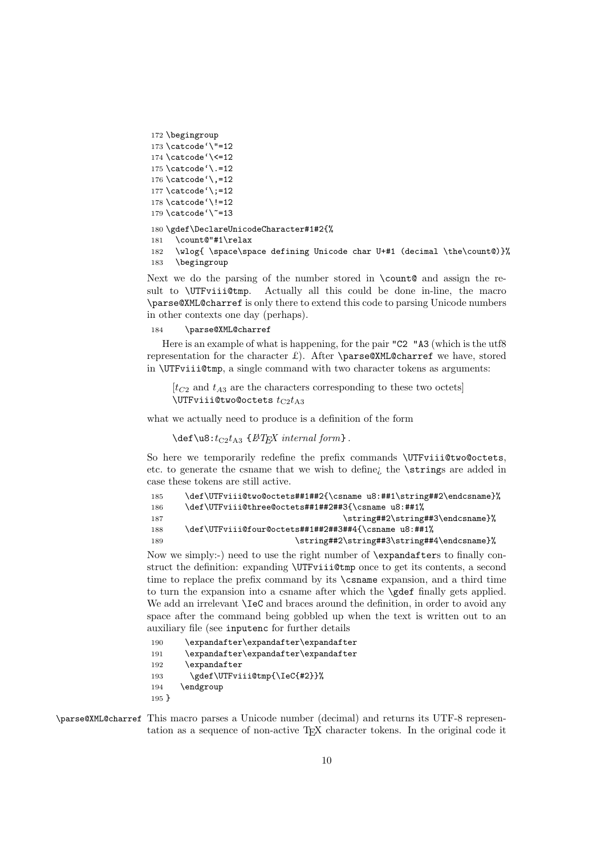```
172 \begingroup
173 \catcode'\"=12
174 \catcode'\<=12
175 \catcode'\.=12
176 \catcode'\,=12
177 \catcode'\;=12
178 \catcode'\!=12
179 \catcode'\"=13
180 \gdef\DeclareUnicodeCharacter#1#2{%
181 \count@"#1\relax
```
182 \wlog{ \space\space defining Unicode char U+#1 (decimal \the\count@)}% 183 \begingroup

Next we do the parsing of the number stored in \count@ and assign the result to **\UTFviii@tmp**. Actually all this could be done in-line, the macro \parse@XML@charref is only there to extend this code to parsing Unicode numbers in other contexts one day (perhaps).

## 184 \parse@XML@charref

Here is an example of what is happening, for the pair "C2 "A3 (which is the utf8 representation for the character  $\mathcal{L}$ . After **\parse@XML@charref** we have, stored in \UTFviii@tmp, a single command with two character tokens as arguments:

```
[t<sub>C2</sub> and t<sub>A3</sub> are the characters corresponding to these two octets]
\UpsilonUTFviii@two@octets t_{C2}t_{A3}
```
what we actually need to produce is a definition of the form

```
\det\{u8:t_{C2}t_{A3} \{BTEX\ internal\ form\}.
```
So here we temporarily redefine the prefix commands \UTFviii@two@octets, etc. to generate the csname that we wish to define¿ the \strings are added in case these tokens are still active.

| \def\UTFviii@two@octets##1##2{\csname u8:##1\string##2\endcsname}% |
|--------------------------------------------------------------------|
| \def\UTFviii@three@octets##1##2##3{\csname u8:##1%                 |
| \string##2\string##3\endcsname}%                                   |
| \def\UTFviii@four@octets##1##2##3##4{\csname u8:##1%               |
| \string##2\string##3\string##4\endcsname}%                         |
|                                                                    |

Now we simply:-) need to use the right number of \expandafters to finally construct the definition: expanding \UTFviii@tmp once to get its contents, a second time to replace the prefix command by its \csname expansion, and a third time to turn the expansion into a csname after which the \gdef finally gets applied. We add an irrelevant  $\I{ec}$  and braces around the definition, in order to avoid any space after the command being gobbled up when the text is written out to an auxiliary file (see inputenc for further details

| 190     | \expandafter\expandafter\expandafter |
|---------|--------------------------------------|
| 191     | \expandafter\expandafter\expandafter |
| 192     | \expandafter                         |
| 193     | \gdef\UTFviii@tmp{\IeC{#2}}%         |
| 194     | \endgroup                            |
| $195$ } |                                      |
|         |                                      |

\parse@XML@charref This macro parses a Unicode number (decimal) and returns its UTF-8 representation as a sequence of non-active TEX character tokens. In the original code it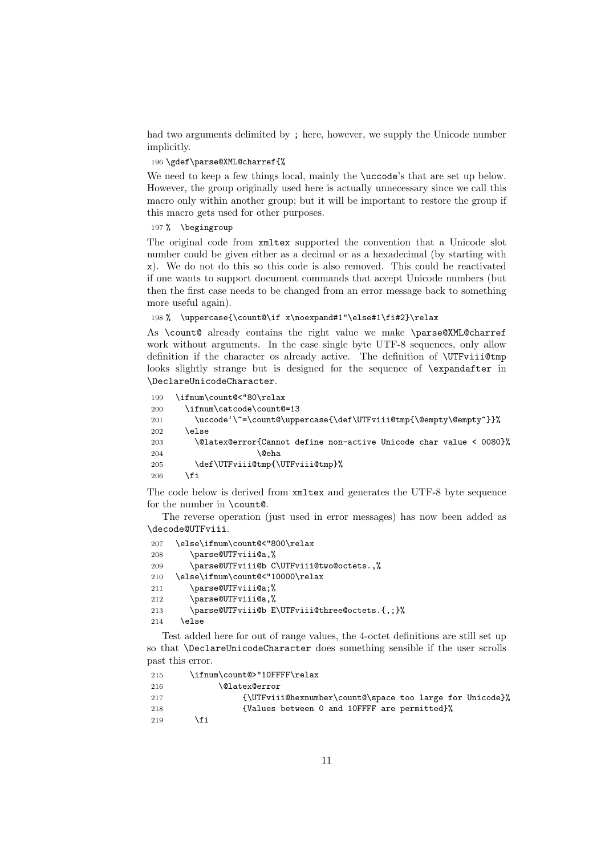had two arguments delimited by ; here, however, we supply the Unicode number implicitly.

#### 196 \gdef\parse@XML@charref{%

We need to keep a few things local, mainly the \uccode's that are set up below. However, the group originally used here is actually unnecessary since we call this macro only within another group; but it will be important to restore the group if this macro gets used for other purposes.

#### 197 % \begingroup

The original code from xmltex supported the convention that a Unicode slot number could be given either as a decimal or as a hexadecimal (by starting with x). We do not do this so this code is also removed. This could be reactivated if one wants to support document commands that accept Unicode numbers (but then the first case needs to be changed from an error message back to something more useful again).

```
198 % \uppercase{\count@\if x\noexpand#1"\else#1\fi#2}\relax
```
As \count@ already contains the right value we make \parse@XML@charref work without arguments. In the case single byte UTF-8 sequences, only allow definition if the character os already active. The definition of **\UTFviii@tmp** looks slightly strange but is designed for the sequence of \expandafter in \DeclareUnicodeCharacter.

```
199 \ifnum\count@<"80\relax
200 \ifnum\catcode\count@=13
201 \uccode'\~=\count@\uppercase{\def\UTFviii@tmp{\@empty\@empty~}}%
202 \qquad \text{leless}203 \@latex@error{Cannot define non-active Unicode char value < 0080}%
204 \qquad \qquad \qquad \qquad \qquad \qquad \qquad \qquad \qquad \qquad \qquad \qquad \qquad \qquad \qquad \qquad \qquad \qquad \qquad \qquad \qquad \qquad \qquad \qquad \qquad \qquad \qquad \qquad \qquad \qquad \qquad \qquad \qquad \qquad \qquad \qquad205 \def\UTFviii@tmp{\UTFviii@tmp}%
206 \fi
```
The code below is derived from xmltex and generates the UTF-8 byte sequence for the number in \count@.

The reverse operation (just used in error messages) has now been added as \decode@UTFviii.

```
207 \else\ifnum\count@<"800\relax
208 \parse@UTFviii@a,%
209 \parse@UTFviii@b C\UTFviii@two@octets.,%
210 \else\ifnum\count@<"10000\relax
211 \parse@UTFviii@a;%
212 \parse@UTFviii@a,%
213 \parse@UTFviii@b E\UTFviii@three@octets.{,;}%
214 \else
```
Test added here for out of range values, the 4-octet definitions are still set up so that \DeclareUnicodeCharacter does something sensible if the user scrolls past this error.

```
215 \ifnum\count@>"10FFFF\relax
216 \@latex@error
217 {\UTFviii@hexnumber\count@\space too large for Unicode}%
218 {Values between 0 and 10FFFF are permitted}%
219 \setminusfi
```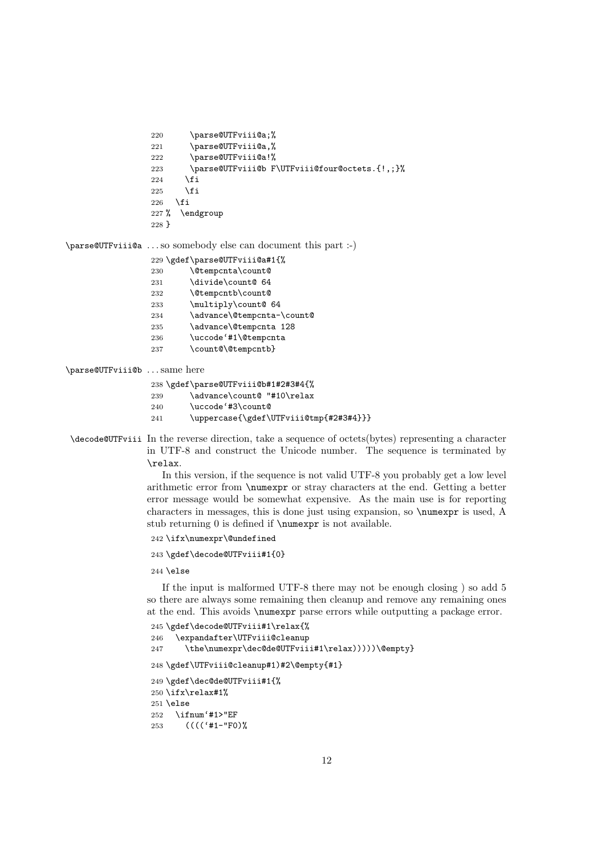```
220 \parse@UTFviii@a;%
221 \parse@UTFviii@a,%
222 \parse@UTFviii@a!%
223 \parse@UTFviii@b F\UTFviii@four@octets.{!,;}%
224 \fi
225 \fi
226 \fi
227 % \endgroup
228 }
```
\parse@UTFviii@a . . . so somebody else can document this part :-)

|     | 229 \gdef\parse@UTFviii@a#1{% |
|-----|-------------------------------|
| 230 | \@tempcnta\count@             |
| 231 | \divide\count@ 64             |
| 232 | \@tempcntb\count@             |
| 233 | \multiply\count@ 64           |
| 234 | \advance\@tempcnta-\count@    |
| 235 | \advance\@tempcnta 128        |
| 236 | \uccode'#1\@tempcnta          |
| 237 | \count@\@tempcntb}            |
|     |                               |

#### \parse@UTFviii@b . . . same here

\gdef\parse@UTFviii@b#1#2#3#4{%

- 239 \advance\count@ "#10\relax
- \uccode'#3\count@
- 241 \uppercase{\gdef\UTFviii@tmp{#2#3#4}}}
- \decode@UTFviii In the reverse direction, take a sequence of octets(bytes) representing a character in UTF-8 and construct the Unicode number. The sequence is terminated by \relax.

In this version, if the sequence is not valid UTF-8 you probably get a low level arithmetic error from \numexpr or stray characters at the end. Getting a better error message would be somewhat expensive. As the main use is for reporting characters in messages, this is done just using expansion, so \numexpr is used, A stub returning 0 is defined if \numexpr is not available.

```
242 \ifx\numexpr\@undefined
```

```
243 \gdef\decode@UTFviii#1{0}
```
\else

If the input is malformed UTF-8 there may not be enough closing ) so add 5 so there are always some remaining then cleanup and remove any remaining ones at the end. This avoids \numexpr parse errors while outputting a package error.

```
245 \gdef\decode@UTFviii#1\relax{%
246 \expandafter\UTFviii@cleanup
247 \the\numexpr\dec@de@UTFviii#1\relax)))))\@empty}
248 \gdef\UTFviii@cleanup#1)#2\@empty{#1}
249 \gdef\dec@de@UTFviii#1{%
250 \ifx\relax#1%
251 \else
252 \ifnum'#1>"EF
253 (((('#1-"F0)%
```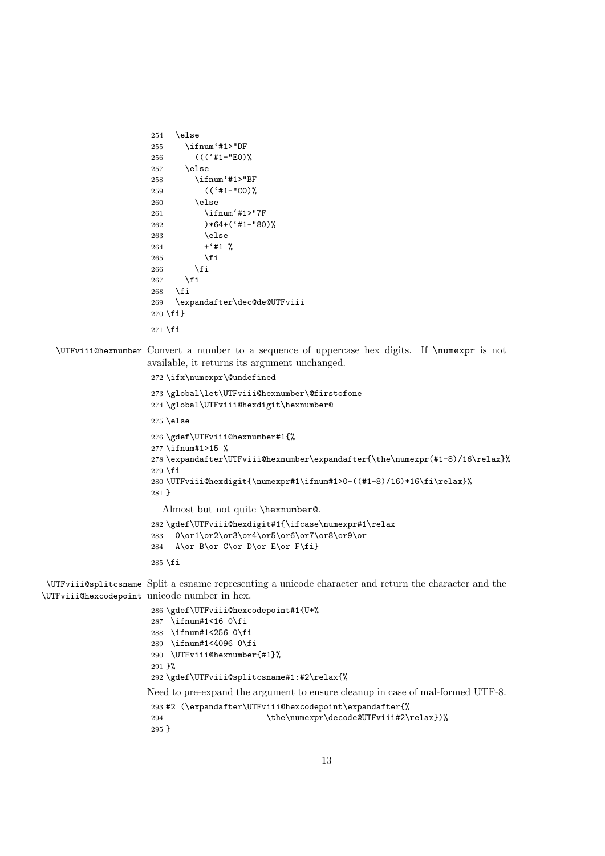```
254 \lambdaelse
                      255 \ifnum'#1>"DF
                      256 ((('#1-"E0)%
                      257 \else
                      258 \ifnum'#1>"BF
                      259 (('#1-"C0)%
                      260 \else
                      261 \ifnum'#1>"7F
                      262 )*64+('#1-"80)%
                      263 \else
                      264 + '#1 %265 \fi
                      266 \fi
                      267 \fi
                      268 \fi
                      269 \expandafter\dec@de@UTFviii
                      270 \fi}
                      271 \setminus fi\UTFviii@hexnumber Convert a number to a sequence of uppercase hex digits. If \numexpr is not
                     available, it returns its argument unchanged.
                      272 \ifx\numexpr\@undefined
                      273 \global\let\UTFviii@hexnumber\@firstofone
                      274 \global\UTFviii@hexdigit\hexnumber@
                      275 \else
                      276 \gdef\UTFviii@hexnumber#1{%
                      277 \ifnum#1>15 %
                      278 \expandafter\UTFviii@hexnumber\expandafter{\the\numexpr(#1-8)/16\relax}%
                      279 \fi
                      280 \UTFviii@hexdigit{\numexpr#1\ifnum#1>0-((#1-8)/16)*16\fi\relax}%
                      281 }
                        Almost but not quite \hexnumber@.
                      282 \gdef\UTFviii@hexdigit#1{\ifcase\numexpr#1\relax
                      283 0\or1\or2\or3\or4\or5\or6\or7\or8\or9\or
                      284 A\or B\or C\or D\or E\or F\fi}
                      285 \fi
\UTFviii@splitcsname
Split a csname representing a unicode character and return the character and the
\UTFviii@hexcodepoint
unicode number in hex.
                      286 \gdef\UTFviii@hexcodepoint#1{U+%
```

```
287 \ifnum#1<16 0\fi
288 \ifnum#1<256 0\fi
289 \ifnum#1<4096 0\fi
290 \UTFviii@hexnumber{#1}%
291 }%
292 \gdef\UTFviii@splitcsname#1:#2\relax{%
Need to pre-expand the argument to ensure cleanup in case of mal-formed UTF-8.
293 #2 (\expandafter\UTFviii@hexcodepoint\expandafter{%
294 \the\numexpr\decode@UTFviii#2\relax})%
295 }
```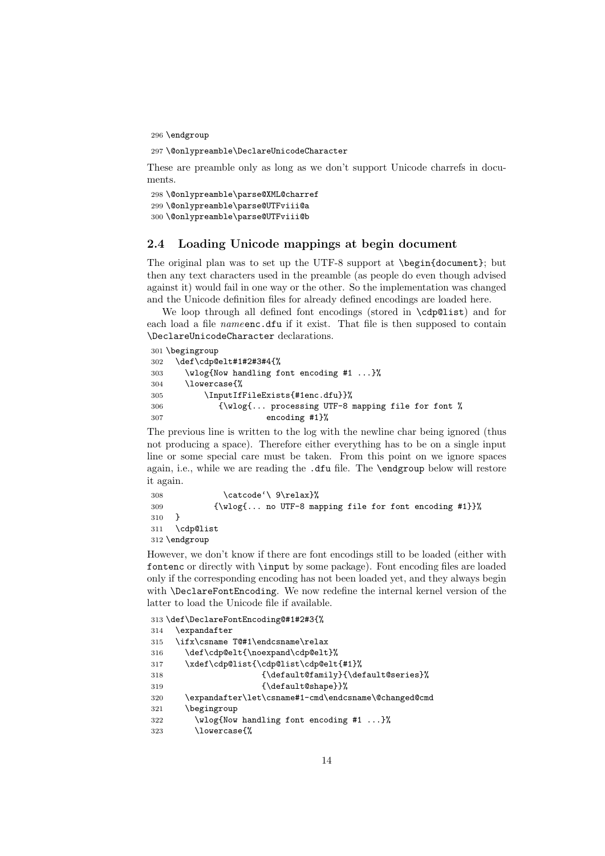296 \endgroup

```
297 \@onlypreamble\DeclareUnicodeCharacter
```
These are preamble only as long as we don't support Unicode charrefs in documents.

```
298 \@onlypreamble\parse@XML@charref
299 \@onlypreamble\parse@UTFviii@a
300 \@onlypreamble\parse@UTFviii@b
```
#### <span id="page-13-0"></span>2.4 Loading Unicode mappings at begin document

The original plan was to set up the UTF-8 support at \begin{document}; but then any text characters used in the preamble (as people do even though advised against it) would fail in one way or the other. So the implementation was changed and the Unicode definition files for already defined encodings are loaded here.

We loop through all defined font encodings (stored in \cdp@list) and for each load a file *name* enc.dfu if it exist. That file is then supposed to contain \DeclareUnicodeCharacter declarations.

```
301 \begingroup
302 \def\cdp@elt#1#2#3#4{%
303 \wlog{Now handling font encoding #1 ...}%
304 \lowercase{%
305 \InputIfFileExists{#1enc.dfu}}%
306 {\wlog{... processing UTF-8 mapping file for font %
307 encoding #1}%
```
The previous line is written to the log with the newline char being ignored (thus not producing a space). Therefore either everything has to be on a single input line or some special care must be taken. From this point on we ignore spaces again, i.e., while we are reading the .dfu file. The \endgroup below will restore it again.

```
308 \catcode'\ 9\relax}%
309 {\wlog{... no UTF-8 mapping file for font encoding #1}}%
310 }
311 \cdp@list
312 \endgroup
```
However, we don't know if there are font encodings still to be loaded (either with fontenc or directly with \input by some package). Font encoding files are loaded only if the corresponding encoding has not been loaded yet, and they always begin with \DeclareFontEncoding. We now redefine the internal kernel version of the latter to load the Unicode file if available.

```
313 \def\DeclareFontEncoding@#1#2#3{%
314 \expandafter
315 \ifx\csname T@#1\endcsname\relax
316 \def\cdp@elt{\noexpand\cdp@elt}%
317 \xdef\cdp@list{\cdp@list\cdp@elt{#1}%
318 {\default@family}{\default@series}%
319 {\default@shape}}%
320 \expandafter\let\csname#1-cmd\endcsname\@changed@cmd
321 \begingroup
322 \wlog{Now handling font encoding #1 ...}%
323 \lowercase{%
```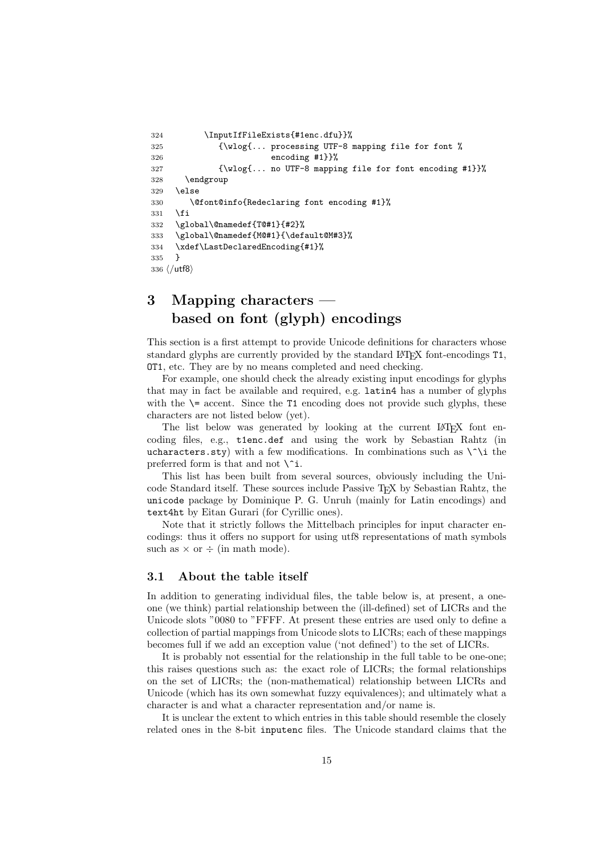```
324 \InputIfFileExists{#1enc.dfu}}%
325 {\wlog{... processing UTF-8 mapping file for font %
326 encoding #1}}%
327 {\wlog{... no UTF-8 mapping file for font encoding #1}}%
328 \endgroup
329 \else
330 \@font@info{Redeclaring font encoding #1}%
331 \fi
332 \global\@namedef{T@#1}{#2}%
333 \global\@namedef{M@#1}{\default@M#3}%
334 \xdef\LastDeclaredEncoding{#1}%
335 }
336 ⟨/utf8⟩
```
## <span id="page-14-0"></span>3 Mapping characters based on font (glyph) encodings

This section is a first attempt to provide Unicode definitions for characters whose standard glyphs are currently provided by the standard LATEX font-encodings T1, OT1, etc. They are by no means completed and need checking.

For example, one should check the already existing input encodings for glyphs that may in fact be available and required, e.g. latin4 has a number of glyphs with the  $\geq$  accent. Since the T1 encoding does not provide such glyphs, these characters are not listed below (yet).

The list below was generated by looking at the current LAT<sub>EX</sub> font encoding files, e.g., t1enc.def and using the work by Sebastian Rahtz (in ucharacters.sty) with a few modifications. In combinations such as  $\iota$  the preferred form is that and not  $\hat{\ }$ .

This list has been built from several sources, obviously including the Unicode Standard itself. These sources include Passive TEX by Sebastian Rahtz, the unicode package by Dominique P. G. Unruh (mainly for Latin encodings) and text4ht by Eitan Gurari (for Cyrillic ones).

Note that it strictly follows the Mittelbach principles for input character encodings: thus it offers no support for using utf8 representations of math symbols such as  $\times$  or  $\div$  (in math mode).

#### <span id="page-14-1"></span>3.1 About the table itself

In addition to generating individual files, the table below is, at present, a oneone (we think) partial relationship between the (ill-defined) set of LICRs and the Unicode slots "0080 to "FFFF. At present these entries are used only to define a collection of partial mappings from Unicode slots to LICRs; each of these mappings becomes full if we add an exception value ('not defined') to the set of LICRs.

It is probably not essential for the relationship in the full table to be one-one; this raises questions such as: the exact role of LICRs; the formal relationships on the set of LICRs; the (non-mathematical) relationship between LICRs and Unicode (which has its own somewhat fuzzy equivalences); and ultimately what a character is and what a character representation and/or name is.

It is unclear the extent to which entries in this table should resemble the closely related ones in the 8-bit inputenc files. The Unicode standard claims that the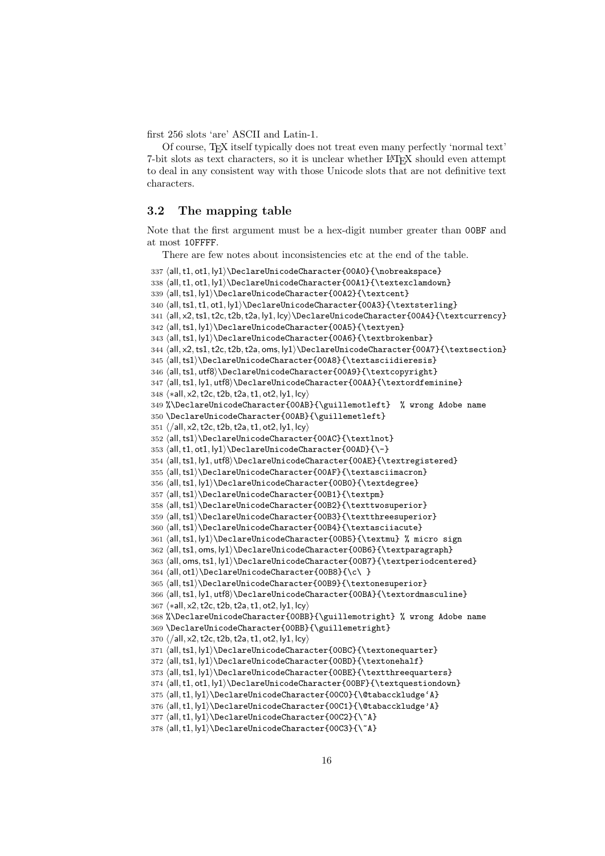first 256 slots 'are' ASCII and Latin-1.

Of course, TEX itself typically does not treat even many perfectly 'normal text' 7-bit slots as text characters, so it is unclear whether LATEX should even attempt to deal in any consistent way with those Unicode slots that are not definitive text characters.

### <span id="page-15-0"></span>3.2 The mapping table

Note that the first argument must be a hex-digit number greater than 00BF and at most 10FFFF.

There are few notes about inconsistencies etc at the end of the table.

```
337 ⟨all,t1, ot1, ly1⟩\DeclareUnicodeCharacter{00A0}{\nobreakspace}
338 ⟨all,t1, ot1, ly1⟩\DeclareUnicodeCharacter{00A1}{\textexclamdown}
339 ⟨all,ts1, ly1⟩\DeclareUnicodeCharacter{00A2}{\textcent}
340 ⟨all,ts1,t1, ot1, ly1⟩\DeclareUnicodeCharacter{00A3}{\textsterling}
341 ⟨all, x2,ts1,t2c,t2b,t2a, ly1, lcy⟩\DeclareUnicodeCharacter{00A4}{\textcurrency}
342 ⟨all,ts1, ly1⟩\DeclareUnicodeCharacter{00A5}{\textyen}
343 ⟨all,ts1, ly1⟩\DeclareUnicodeCharacter{00A6}{\textbrokenbar}
344 ⟨all, x2,ts1,t2c,t2b,t2a, oms, ly1⟩\DeclareUnicodeCharacter{00A7}{\textsection}
345 ⟨all,ts1⟩\DeclareUnicodeCharacter{00A8}{\textasciidieresis}
346 \all,ts1, utf8\DeclarelUnicodeCharacter{00A9}{\text{extcopyright}}347 ⟨all,ts1, ly1, utf8⟩\DeclareUnicodeCharacter{00AA}{\textordfeminine}
348 ⟨∗all, x2,t2c,t2b,t2a,t1, ot2, ly1, lcy⟩
349 %\DeclareUnicodeCharacter{00AB}{\guillemotleft} % wrong Adobe name
350 \DeclareUnicodeCharacter{00AB}{\guillemetleft}
351 ⟨/all, x2,t2c,t2b,t2a,t1, ot2, ly1, lcy⟩
352 ⟨all,ts1⟩\DeclareUnicodeCharacter{00AC}{\textlnot}
353 ⟨all,t1, ot1, ly1⟩\DeclareUnicodeCharacter{00AD}{\-}
354 ⟨all,ts1, ly1, utf8⟩\DeclareUnicodeCharacter{00AE}{\textregistered}
355 ⟨all,ts1⟩\DeclareUnicodeCharacter{00AF}{\textasciimacron}
356 ⟨all,ts1, ly1⟩\DeclareUnicodeCharacter{00B0}{\textdegree}
357 ⟨all,ts1⟩\DeclareUnicodeCharacter{00B1}{\textpm}
358 ⟨all,ts1⟩\DeclareUnicodeCharacter{00B2}{\texttwosuperior}
359 ⟨all,ts1⟩\DeclareUnicodeCharacter{00B3}{\textthreesuperior}
360 ⟨all,ts1⟩\DeclareUnicodeCharacter{00B4}{\textasciiacute}
361 ⟨all,ts1, ly1⟩\DeclareUnicodeCharacter{00B5}{\textmu} % micro sign
362 ⟨all,ts1, oms, ly1⟩\DeclareUnicodeCharacter{00B6}{\textparagraph}
363 ⟨all, oms,ts1, ly1⟩\DeclareUnicodeCharacter{00B7}{\textperiodcentered}
364 ⟨all, ot1⟩\DeclareUnicodeCharacter{00B8}{\c\ }
365 ⟨all,ts1⟩\DeclareUnicodeCharacter{00B9}{\textonesuperior}
366 ⟨all,ts1, ly1, utf8⟩\DeclareUnicodeCharacter{00BA}{\textordmasculine}
367 ⟨∗all, x2,t2c,t2b,t2a,t1, ot2, ly1, lcy⟩
368 %\DeclareUnicodeCharacter{00BB}{\guillemotright} % wrong Adobe name
369 \DeclareUnicodeCharacter{00BB}{\guillemetright}
370 ⟨/all, x2,t2c,t2b,t2a,t1, ot2, ly1, lcy⟩
371 ⟨all,ts1, ly1⟩\DeclareUnicodeCharacter{00BC}{\textonequarter}
372 \all,ts1, ly1\rangle\DeclarelUnicodeCharacter{00BD} {\textexponent}373 ⟨all,ts1, ly1⟩\DeclareUnicodeCharacter{00BE}{\textthreequarters}
374 ⟨all,t1, ot1, ly1⟩\DeclareUnicodeCharacter{00BF}{\textquestiondown}
375 ⟨all,t1, ly1⟩\DeclareUnicodeCharacter{00C0}{\@tabacckludge'A}
376 ⟨all,t1, ly1⟩\DeclareUnicodeCharacter{00C1}{\@tabacckludge'A}
377 ⟨all,t1, ly1⟩\DeclareUnicodeCharacter{00C2}{\^A}
378 ⟨all,t1, ly1⟩\DeclareUnicodeCharacter{00C3}{\~A}
```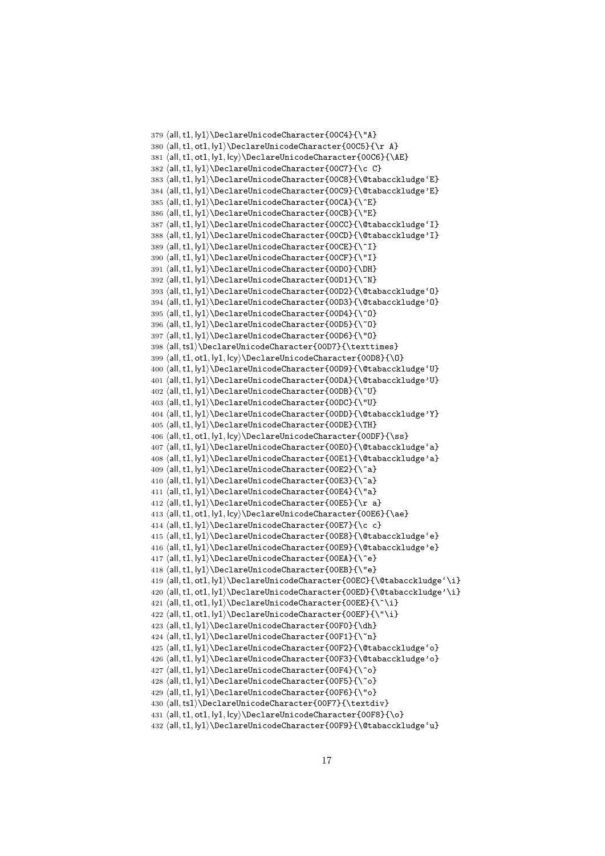```
379 ⟨all,t1, ly1⟩\DeclareUnicodeCharacter{00C4}{\"A}
380 ⟨all,t1, ot1, ly1⟩\DeclareUnicodeCharacter{00C5}{\r A}
381 ⟨all,t1, ot1, ly1, lcy⟩\DeclareUnicodeCharacter{00C6}{\AE}
382 ⟨all,t1, ly1⟩\DeclareUnicodeCharacter{00C7}{\c C}
383 ⟨all,t1, ly1⟩\DeclareUnicodeCharacter{00C8}{\@tabacckludge'E}
384 ⟨all,t1, ly1⟩\DeclareUnicodeCharacter{00C9}{\@tabacckludge'E}
385 ⟨all,t1, ly1⟩\DeclareUnicodeCharacter{00CA}{\^E}
386 ⟨all,t1, ly1⟩\DeclareUnicodeCharacter{00CB}{\"E}
387 ⟨all,t1, ly1⟩\DeclareUnicodeCharacter{00CC}{\@tabacckludge'I}
388 ⟨all,t1, ly1⟩\DeclareUnicodeCharacter{00CD}{\@tabacckludge'I}
389 \langleall,t1, ly1\rangle\DeclarelUnicodeCharacter{00CE}{\^I}390 ⟨all,t1, ly1⟩\DeclareUnicodeCharacter{00CF}{\"I}
391 ⟨all,t1, ly1⟩\DeclareUnicodeCharacter{00D0}{\DH}
392 ⟨all,t1, ly1⟩\DeclareUnicodeCharacter{00D1}{\~N}
393 ⟨all,t1, ly1⟩\DeclareUnicodeCharacter{00D2}{\@tabacckludge'O}
394 ⟨all,t1, ly1⟩\DeclareUnicodeCharacter{00D3}{\@tabacckludge'O}
395 ⟨all,t1, ly1⟩\DeclareUnicodeCharacter{00D4}{\^O}
396 ⟨all,t1, ly1⟩\DeclareUnicodeCharacter{00D5}{\~O}
397 ⟨all,t1, ly1⟩\DeclareUnicodeCharacter{00D6}{\"O}
398 ⟨all,ts1⟩\DeclareUnicodeCharacter{00D7}{\texttimes}
399 ⟨all,t1, ot1, ly1, lcy⟩\DeclareUnicodeCharacter{00D8}{\O}
400 ⟨all,t1, ly1⟩\DeclareUnicodeCharacter{00D9}{\@tabacckludge'U}
401 ⟨all,t1, ly1⟩\DeclareUnicodeCharacter{00DA}{\@tabacckludge'U}
402 ⟨all,t1, ly1⟩\DeclareUnicodeCharacter{00DB}{\^U}
403 ⟨all,t1, ly1⟩\DeclareUnicodeCharacter{00DC}{\"U}
404 ⟨all,t1, ly1⟩\DeclareUnicodeCharacter{00DD}{\@tabacckludge'Y}
405 ⟨all,t1, ly1⟩\DeclareUnicodeCharacter{00DE}{\TH}
406 ⟨all,t1, ot1, ly1, lcy⟩\DeclareUnicodeCharacter{00DF}{\ss}
407 ⟨all,t1, ly1⟩\DeclareUnicodeCharacter{00E0}{\@tabacckludge'a}
408 ⟨all,t1, ly1⟩\DeclareUnicodeCharacter{00E1}{\@tabacckludge'a}
409 \langleall,t1, ly1\rangle\DeclarelUnicodeCharacter{00E2}{\^a}410 \all, t1, ly1\rangle\DeclarelUnicodeCharacter{00E3}{\a411 ⟨all,t1, ly1⟩\DeclareUnicodeCharacter{00E4}{\"a}
412 ⟨all,t1, ly1⟩\DeclareUnicodeCharacter{00E5}{\r a}
413 \{all, tl, ot1, ly1, lcy\Delta:DeclarelUnicodeCharacter{00E6}{\ae}414 ⟨all,t1, ly1⟩\DeclareUnicodeCharacter{00E7}{\c c}
415 ⟨all,t1, ly1⟩\DeclareUnicodeCharacter{00E8}{\@tabacckludge'e}
416 ⟨all,t1, ly1⟩\DeclareUnicodeCharacter{00E9}{\@tabacckludge'e}
417 \langleall,t1, ly1\rangle\DeclareUnicodeCharacter{00EA}{\^e}
418 ⟨all,t1, ly1⟩\DeclareUnicodeCharacter{00EB}{\"e}
419 ⟨all,t1, ot1, ly1⟩\DeclareUnicodeCharacter{00EC}{\@tabacckludge'\i}
420 ⟨all,t1, ot1, ly1⟩\DeclareUnicodeCharacter{00ED}{\@tabacckludge'\i}
421 ⟨all,t1, ot1, ly1⟩\DeclareUnicodeCharacter{00EE}{\^\i}
422 ⟨all,t1, ot1, ly1⟩\DeclareUnicodeCharacter{00EF}{\"\i}
423 \langleall,t1, |v1\rangle)DeclareUnicodeCharacter{00F0}{\dh}
424 \langleall,t1, ly1\rangle\DeclareUnicodeCharacter{00F1}{\425 ⟨all,t1, ly1⟩\DeclareUnicodeCharacter{00F2}{\@tabacckludge'o}
426 ⟨all,t1, ly1⟩\DeclareUnicodeCharacter{00F3}{\@tabacckludge'o}
427 \langleall,t1, ly1\rangle\DeclarelUnicodeCharacter{00F4}{\^o}428 \langleall,t1, ly1\rangle\DeclareUnicodeCharacter{00F5}{\429 ⟨all,t1, ly1⟩\DeclareUnicodeCharacter{00F6}{\"o}
430 ⟨all,ts1⟩\DeclareUnicodeCharacter{00F7}{\textdiv}
431 ⟨all,t1, ot1, ly1, lcy⟩\DeclareUnicodeCharacter{00F8}{\o}
432 ⟨all,t1, ly1⟩\DeclareUnicodeCharacter{00F9}{\@tabacckludge'u}
```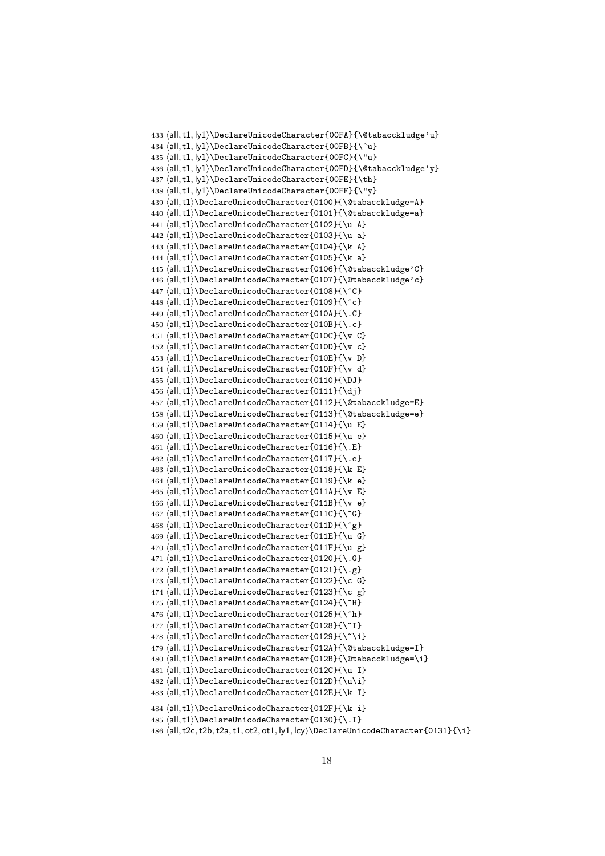```
433 ⟨all,t1, ly1⟩\DeclareUnicodeCharacter{00FA}{\@tabacckludge'u}
434 \langleall,t1, ly1\rangle\DeclareUnicodeCharacter{00FB}{\^u}
435 ⟨all,t1, ly1⟩\DeclareUnicodeCharacter{00FC}{\"u}
436 ⟨all,t1, ly1⟩\DeclareUnicodeCharacter{00FD}{\@tabacckludge'y}
437 ⟨all,t1, ly1⟩\DeclareUnicodeCharacter{00FE}{\th}
438 ⟨all,t1, ly1⟩\DeclareUnicodeCharacter{00FF}{\"y}
439 ⟨all,t1⟩\DeclareUnicodeCharacter{0100}{\@tabacckludge=A}
440 ⟨all,t1⟩\DeclareUnicodeCharacter{0101}{\@tabacckludge=a}
441 ⟨all,t1⟩\DeclareUnicodeCharacter{0102}{\u A}
442 ⟨all,t1⟩\DeclareUnicodeCharacter{0103}{\u a}
443 ⟨all,t1⟩\DeclareUnicodeCharacter{0104}{\k A}
444 ⟨all,t1⟩\DeclareUnicodeCharacter{0105}{\k a}
445 ⟨all,t1⟩\DeclareUnicodeCharacter{0106}{\@tabacckludge'C}
446 ⟨all,t1⟩\DeclareUnicodeCharacter{0107}{\@tabacckludge'c}
447 ⟨all,t1⟩\DeclareUnicodeCharacter{0108}{\^C}
448 ⟨all,t1⟩\DeclareUnicodeCharacter{0109}{\^c}
449 ⟨all,t1⟩\DeclareUnicodeCharacter{010A}{\.C}
450 ⟨all,t1⟩\DeclareUnicodeCharacter{010B}{\.c}
451 ⟨all,t1⟩\DeclareUnicodeCharacter{010C}{\v C}
452 ⟨all,t1⟩\DeclareUnicodeCharacter{010D}{\v c}
453 ⟨all,t1⟩\DeclareUnicodeCharacter{010E}{\v D}
454 ⟨all,t1⟩\DeclareUnicodeCharacter{010F}{\v d}
455 ⟨all,t1⟩\DeclareUnicodeCharacter{0110}{\DJ}
456 ⟨all,t1⟩\DeclareUnicodeCharacter{0111}{\dj}
457 ⟨all,t1⟩\DeclareUnicodeCharacter{0112}{\@tabacckludge=E}
458 ⟨all,t1⟩\DeclareUnicodeCharacter{0113}{\@tabacckludge=e}
459 ⟨all,t1⟩\DeclareUnicodeCharacter{0114}{\u E}
460 ⟨all,t1⟩\DeclareUnicodeCharacter{0115}{\u e}
461 ⟨all,t1⟩\DeclareUnicodeCharacter{0116}{\.E}
462 ⟨all,t1⟩\DeclareUnicodeCharacter{0117}{\.e}
463 ⟨all,t1⟩\DeclareUnicodeCharacter{0118}{\k E}
464 ⟨all,t1⟩\DeclareUnicodeCharacter{0119}{\k e}
465 ⟨all,t1⟩\DeclareUnicodeCharacter{011A}{\v E}
466 ⟨all,t1⟩\DeclareUnicodeCharacter{011B}{\v e}
467 ⟨all,t1⟩\DeclareUnicodeCharacter{011C}{\^G}
468 ⟨all,t1⟩\DeclareUnicodeCharacter{011D}{\^g}
469 ⟨all,t1⟩\DeclareUnicodeCharacter{011E}{\u G}
470 ⟨all,t1⟩\DeclareUnicodeCharacter{011F}{\u g}
471 ⟨all,t1⟩\DeclareUnicodeCharacter{0120}{\.G}
472 \langle all, t1 \rangle \DeltaDeclareUnicodeCharacter{0121}{\.g}
473 ⟨all,t1⟩\DeclareUnicodeCharacter{0122}{\c G}
474 ⟨all,t1⟩\DeclareUnicodeCharacter{0123}{\c g}
475 ⟨all,t1⟩\DeclareUnicodeCharacter{0124}{\^H}
476 \all,t1 \DeclareUnicodeCharacter{0125}{\^h}
477 ⟨all,t1⟩\DeclareUnicodeCharacter{0128}{\~I}
478 ⟨all,t1⟩\DeclareUnicodeCharacter{0129}{\~\i}
479 ⟨all,t1⟩\DeclareUnicodeCharacter{012A}{\@tabacckludge=I}
480 ⟨all,t1⟩\DeclareUnicodeCharacter{012B}{\@tabacckludge=\i}
481 ⟨all,t1⟩\DeclareUnicodeCharacter{012C}{\u I}
482 ⟨all,t1⟩\DeclareUnicodeCharacter{012D}{\u\i}
483 ⟨all,t1⟩\DeclareUnicodeCharacter{012E}{\k I}
484 ⟨all,t1⟩\DeclareUnicodeCharacter{012F}{\k i}
485 ⟨all,t1⟩\DeclareUnicodeCharacter{0130}{\.I}
486 ⟨all,t2c,t2b,t2a,t1, ot2, ot1, ly1, lcy⟩\DeclareUnicodeCharacter{0131}{\i}
```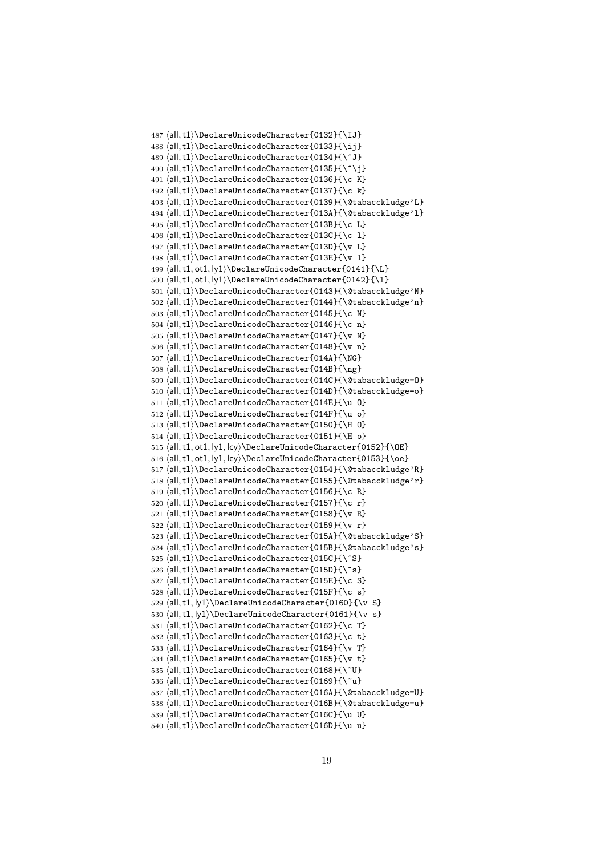```
487 ⟨all,t1⟩\DeclareUnicodeCharacter{0132}{\IJ}
488 ⟨all,t1⟩\DeclareUnicodeCharacter{0133}{\ij}
489 ⟨all,t1⟩\DeclareUnicodeCharacter{0134}{\^J}
490 \langleall,t1\rangleDeclareUnicodeCharacter{0135}{\^\j}
491 ⟨all,t1⟩\DeclareUnicodeCharacter{0136}{\c K}
492 ⟨all,t1⟩\DeclareUnicodeCharacter{0137}{\c k}
493 ⟨all,t1⟩\DeclareUnicodeCharacter{0139}{\@tabacckludge'L}
494 ⟨all,t1⟩\DeclareUnicodeCharacter{013A}{\@tabacckludge'l}
495 \langle all, t1 \rangle \DeltaDeclareUnicodeCharacter{013B}{\c L}
496 ⟨all,t1⟩\DeclareUnicodeCharacter{013C}{\c l}
497 ⟨all,t1⟩\DeclareUnicodeCharacter{013D}{\v L}
498 ⟨all,t1⟩\DeclareUnicodeCharacter{013E}{\v l}
499 \all, t1, ot1, ly1\rangle\DeclarelUnicodeCharacter{0141}{\L}500 \left\{ \lceil \frac{1}{10} \rceil \cdot \lceil \frac{1}{2} \rceil \right\}501 ⟨all,t1⟩\DeclareUnicodeCharacter{0143}{\@tabacckludge'N}
502 ⟨all,t1⟩\DeclareUnicodeCharacter{0144}{\@tabacckludge'n}
503 ⟨all,t1⟩\DeclareUnicodeCharacter{0145}{\c N}
504 ⟨all,t1⟩\DeclareUnicodeCharacter{0146}{\c n}
505 ⟨all,t1⟩\DeclareUnicodeCharacter{0147}{\v N}
506 ⟨all,t1⟩\DeclareUnicodeCharacter{0148}{\v n}
507 ⟨all,t1⟩\DeclareUnicodeCharacter{014A}{\NG}
508 ⟨all,t1⟩\DeclareUnicodeCharacter{014B}{\ng}
509 ⟨all,t1⟩\DeclareUnicodeCharacter{014C}{\@tabacckludge=O}
510 ⟨all,t1⟩\DeclareUnicodeCharacter{014D}{\@tabacckludge=o}
511 ⟨all,t1⟩\DeclareUnicodeCharacter{014E}{\u O}
512 ⟨all,t1⟩\DeclareUnicodeCharacter{014F}{\u o}
513 ⟨all,t1⟩\DeclareUnicodeCharacter{0150}{\H O}
514 ⟨all,t1⟩\DeclareUnicodeCharacter{0151}{\H o}
515 \all, t1, ot1, ly1, lcy\\DeclarelUnicodeCharacter{0152}{\DE}516 ⟨all,t1, ot1, ly1, lcy⟩\DeclareUnicodeCharacter{0153}{\oe}
517 ⟨all,t1⟩\DeclareUnicodeCharacter{0154}{\@tabacckludge'R}
518 ⟨all,t1⟩\DeclareUnicodeCharacter{0155}{\@tabacckludge'r}
519 ⟨all,t1⟩\DeclareUnicodeCharacter{0156}{\c R}
520 ⟨all,t1⟩\DeclareUnicodeCharacter{0157}{\c r}
521 ⟨all,t1⟩\DeclareUnicodeCharacter{0158}{\v R}
522 ⟨all,t1⟩\DeclareUnicodeCharacter{0159}{\v r}
523 ⟨all,t1⟩\DeclareUnicodeCharacter{015A}{\@tabacckludge'S}
524 ⟨all,t1⟩\DeclareUnicodeCharacter{015B}{\@tabacckludge's}
525 ⟨all,t1⟩\DeclareUnicodeCharacter{015C}{\^S}
526 \langleall,t1\rangle\DeclarelUnicodeCharacter{015D}{\hat{s}}
527 ⟨all,t1⟩\DeclareUnicodeCharacter{015E}{\c S}
528 ⟨all,t1⟩\DeclareUnicodeCharacter{015F}{\c s}
529 ⟨all,t1, ly1⟩\DeclareUnicodeCharacter{0160}{\v S}
530 \all, t1, ly1\rangle\DeclarelUnicodeCharacter{0161}{\v s}531 ⟨all,t1⟩\DeclareUnicodeCharacter{0162}{\c T}
532 ⟨all,t1⟩\DeclareUnicodeCharacter{0163}{\c t}
533 ⟨all,t1⟩\DeclareUnicodeCharacter{0164}{\v T}
534 ⟨all,t1⟩\DeclareUnicodeCharacter{0165}{\v t}
535 ⟨all,t1⟩\DeclareUnicodeCharacter{0168}{\~U}
536 ⟨all,t1⟩\DeclareUnicodeCharacter{0169}{\~u}
537 ⟨all,t1⟩\DeclareUnicodeCharacter{016A}{\@tabacckludge=U}
538 ⟨all,t1⟩\DeclareUnicodeCharacter{016B}{\@tabacckludge=u}
539 ⟨all,t1⟩\DeclareUnicodeCharacter{016C}{\u U}
540 ⟨all,t1⟩\DeclareUnicodeCharacter{016D}{\u u}
```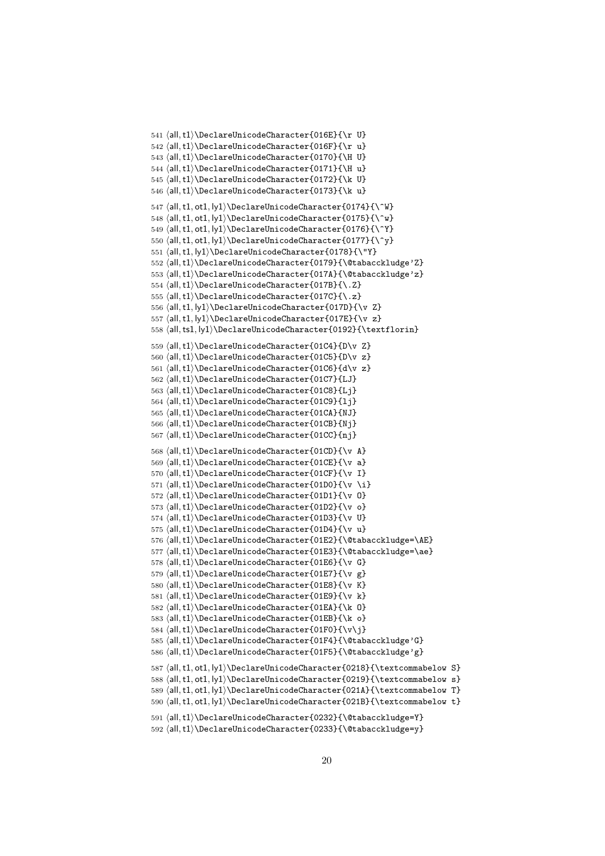```
541 ⟨all,t1⟩\DeclareUnicodeCharacter{016E}{\r U}
542 ⟨all,t1⟩\DeclareUnicodeCharacter{016F}{\r u}
543 ⟨all,t1⟩\DeclareUnicodeCharacter{0170}{\H U}
544 ⟨all,t1⟩\DeclareUnicodeCharacter{0171}{\H u}
545 ⟨all,t1⟩\DeclareUnicodeCharacter{0172}{\k U}
546 ⟨all,t1⟩\DeclareUnicodeCharacter{0173}{\k u}
547 \all, t1, o t1, ly1 \Delta = \UnicodeCharacter{0174}{\W}548 \{all, t1, ot1, ly1\}\DeclarelUnicodeCharacter{0175}{\`w}549 \{l, t1, otl, ly1\}\DeclareUnicodeCharacter{0176}{\^Y}
550 ⟨all,t1, ot1, ly1⟩\DeclareUnicodeCharacter{0177}{\^y}
551 ⟨all,t1, ly1⟩\DeclareUnicodeCharacter{0178}{\"Y}
552 ⟨all,t1⟩\DeclareUnicodeCharacter{0179}{\@tabacckludge'Z}
553 ⟨all,t1⟩\DeclareUnicodeCharacter{017A}{\@tabacckludge'z}
554 ⟨all,t1⟩\DeclareUnicodeCharacter{017B}{\.Z}
555 ⟨all,t1⟩\DeclareUnicodeCharacter{017C}{\.z}
556 ⟨all,t1, ly1⟩\DeclareUnicodeCharacter{017D}{\v Z}
557 ⟨all,t1, ly1⟩\DeclareUnicodeCharacter{017E}{\v z}
558 ⟨all,ts1, ly1⟩\DeclareUnicodeCharacter{0192}{\textflorin}
559 ⟨all,t1⟩\DeclareUnicodeCharacter{01C4}{D\v Z}
560 ⟨all,t1⟩\DeclareUnicodeCharacter{01C5}{D\v z}
561 ⟨all,t1⟩\DeclareUnicodeCharacter{01C6}{d\v z}
562 ⟨all,t1⟩\DeclareUnicodeCharacter{01C7}{LJ}
563 ⟨all,t1⟩\DeclareUnicodeCharacter{01C8}{Lj}
564 ⟨all,t1⟩\DeclareUnicodeCharacter{01C9}{lj}
565 ⟨all,t1⟩\DeclareUnicodeCharacter{01CA}{NJ}
566 ⟨all,t1⟩\DeclareUnicodeCharacter{01CB}{Nj}
567 ⟨all,t1⟩\DeclareUnicodeCharacter{01CC}{nj}
568 ⟨all,t1⟩\DeclareUnicodeCharacter{01CD}{\v A}
569 ⟨all,t1⟩\DeclareUnicodeCharacter{01CE}{\v a}
570 ⟨all,t1⟩\DeclareUnicodeCharacter{01CF}{\v I}
571 ⟨all,t1⟩\DeclareUnicodeCharacter{01D0}{\v \i}
572 ⟨all,t1⟩\DeclareUnicodeCharacter{01D1}{\v O}
573 ⟨all,t1⟩\DeclareUnicodeCharacter{01D2}{\v o}
574 ⟨all,t1⟩\DeclareUnicodeCharacter{01D3}{\v U}
575 ⟨all,t1⟩\DeclareUnicodeCharacter{01D4}{\v u}
576 ⟨all,t1⟩\DeclareUnicodeCharacter{01E2}{\@tabacckludge=\AE}
577 (all,t1)\DeclareUnicodeCharacter{01E3}{\@tabacckludge=\ae}
578 ⟨all,t1⟩\DeclareUnicodeCharacter{01E6}{\v G}
579 ⟨all,t1⟩\DeclareUnicodeCharacter{01E7}{\v g}
580 ⟨all,t1⟩\DeclareUnicodeCharacter{01E8}{\v K}
581 ⟨all,t1⟩\DeclareUnicodeCharacter{01E9}{\v k}
582 ⟨all,t1⟩\DeclareUnicodeCharacter{01EA}{\k O}
583 ⟨all,t1⟩\DeclareUnicodeCharacter{01EB}{\k o}
584 ⟨all,t1⟩\DeclareUnicodeCharacter{01F0}{\v\j}
585 ⟨all,t1⟩\DeclareUnicodeCharacter{01F4}{\@tabacckludge'G}
586 ⟨all,t1⟩\DeclareUnicodeCharacter{01F5}{\@tabacckludge'g}
587 ⟨all,t1, ot1, ly1⟩\DeclareUnicodeCharacter{0218}{\textcommabelow S}
588 ⟨all,t1, ot1, ly1⟩\DeclareUnicodeCharacter{0219}{\textcommabelow s}
589 ⟨all,t1, ot1, ly1⟩\DeclareUnicodeCharacter{021A}{\textcommabelow T}
590 ⟨all,t1, ot1, ly1⟩\DeclareUnicodeCharacter{021B}{\textcommabelow t}
591 ⟨all,t1⟩\DeclareUnicodeCharacter{0232}{\@tabacckludge=Y}
592 ⟨all,t1⟩\DeclareUnicodeCharacter{0233}{\@tabacckludge=y}
```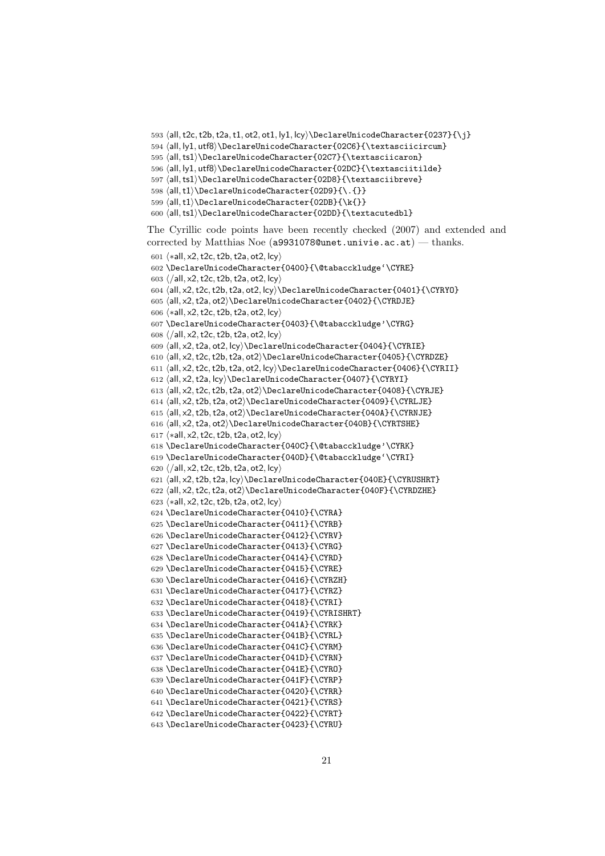```
593 \all, t2c, t2b, t2a, t1, ot2, ot1, ly1, lcy)\DeclareluricodeCharacter{0237}{\i}594 ⟨all, ly1, utf8⟩\DeclareUnicodeCharacter{02C6}{\textasciicircum}
595 ⟨all,ts1⟩\DeclareUnicodeCharacter{02C7}{\textasciicaron}
596 ⟨all, ly1, utf8⟩\DeclareUnicodeCharacter{02DC}{\textasciitilde}
597 ⟨all,ts1⟩\DeclareUnicodeCharacter{02D8}{\textasciibreve}
598 ⟨all,t1⟩\DeclareUnicodeCharacter{02D9}{\.{}}
599 ⟨all,t1⟩\DeclareUnicodeCharacter{02DB}{\k{}}
600 ⟨all,ts1⟩\DeclareUnicodeCharacter{02DD}{\textacutedbl}
The Cyrillic code points have been recently checked (2007) and extended and
corrected by Matthias Noe (a9931078@unet.univie.ac.at) — thanks.
601 ⟨∗all, x2,t2c,t2b,t2a, ot2, lcy⟩
602 \DeclareUnicodeCharacter{0400}{\@tabacckludge'\CYRE}
603 ⟨/all, x2,t2c,t2b,t2a, ot2, lcy⟩
604 ⟨all, x2,t2c,t2b,t2a, ot2, lcy⟩\DeclareUnicodeCharacter{0401}{\CYRYO}
605 ⟨all, x2,t2a, ot2⟩\DeclareUnicodeCharacter{0402}{\CYRDJE}
606 \langle *all, x2, t2c, t2b, t2a, ot2, lcy \rangle607 \DeclareUnicodeCharacter{0403}{\@tabacckludge'\CYRG}
608 ⟨/all, x2,t2c,t2b,t2a, ot2, lcy⟩
609 ⟨all, x2,t2a, ot2, lcy⟩\DeclareUnicodeCharacter{0404}{\CYRIE}
610 ⟨all, x2,t2c,t2b,t2a, ot2⟩\DeclareUnicodeCharacter{0405}{\CYRDZE}
611 ⟨all, x2,t2c,t2b,t2a, ot2, lcy⟩\DeclareUnicodeCharacter{0406}{\CYRII}
612 ⟨all, x2,t2a, lcy⟩\DeclareUnicodeCharacter{0407}{\CYRYI}
613 ⟨all, x2,t2c,t2b,t2a, ot2⟩\DeclareUnicodeCharacter{0408}{\CYRJE}
614 ⟨all, x2,t2b,t2a, ot2⟩\DeclareUnicodeCharacter{0409}{\CYRLJE}
615 ⟨all, x2,t2b,t2a, ot2⟩\DeclareUnicodeCharacter{040A}{\CYRNJE}
616 ⟨all, x2,t2a, ot2⟩\DeclareUnicodeCharacter{040B}{\CYRTSHE}
617 ⟨∗all, x2,t2c,t2b,t2a, ot2, lcy⟩
618 \DeclareUnicodeCharacter{040C}{\@tabacckludge'\CYRK}
619 \DeclareUnicodeCharacter{040D}{\@tabacckludge'\CYRI}
620 ⟨/all, x2,t2c,t2b,t2a, ot2, lcy⟩
621 ⟨all, x2,t2b,t2a, lcy⟩\DeclareUnicodeCharacter{040E}{\CYRUSHRT}
622 ⟨all, x2,t2c,t2a, ot2⟩\DeclareUnicodeCharacter{040F}{\CYRDZHE}
623 ⟨∗all, x2,t2c,t2b,t2a, ot2, lcy⟩
624 \DeclareUnicodeCharacter{0410}{\CYRA}
625 \DeclareUnicodeCharacter{0411}{\CYRB}
626 \DeclareUnicodeCharacter{0412}{\CYRV}
627 \DeclareUnicodeCharacter{0413}{\CYRG}
628 \DeclareUnicodeCharacter{0414}{\CYRD}
629 \DeclareUnicodeCharacter{0415}{\CYRE}
630 \DeclareUnicodeCharacter{0416}{\CYRZH}
631 \DeclareUnicodeCharacter{0417}{\CYRZ}
632 \DeclareUnicodeCharacter{0418}{\CYRI}
633 \DeclareUnicodeCharacter{0419}{\CYRISHRT}
634 \DeclareUnicodeCharacter{041A}{\CYRK}
635 \DeclareUnicodeCharacter{041B}{\CYRL}
636 \DeclareUnicodeCharacter{041C}{\CYRM}
637 \DeclareUnicodeCharacter{041D}{\CYRN}
638 \DeclareUnicodeCharacter{041E}{\CYRO}
639 \DeclareUnicodeCharacter{041F}{\CYRP}
640 \DeclareUnicodeCharacter{0420}{\CYRR}
641 \DeclareUnicodeCharacter{0421}{\CYRS}
642 \DeclareUnicodeCharacter{0422}{\CYRT}
643 \DeclareUnicodeCharacter{0423}{\CYRU}
```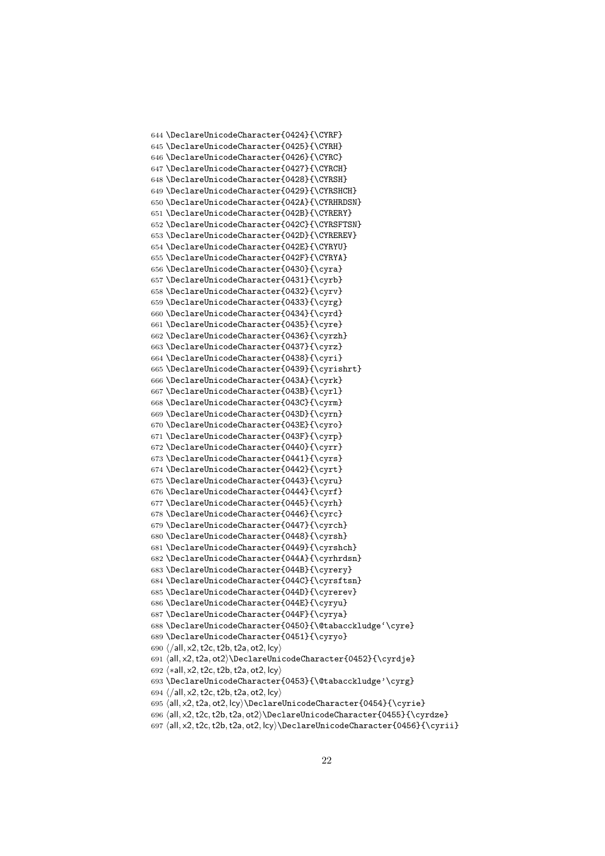```
644 \DeclareUnicodeCharacter{0424}{\CYRF}
645 \DeclareUnicodeCharacter{0425}{\CYRH}
646 \DeclareUnicodeCharacter{0426}{\CYRC}
647 \DeclareUnicodeCharacter{0427}{\CYRCH}
648 \DeclareUnicodeCharacter{0428}{\CYRSH}
649 \DeclareUnicodeCharacter{0429}{\CYRSHCH}
650 \DeclareUnicodeCharacter{042A}{\CYRHRDSN}
651 \DeclareUnicodeCharacter{042B}{\CYRERY}
652 \DeclareUnicodeCharacter{042C}{\CYRSFTSN}
653 \DeclareUnicodeCharacter{042D}{\CYREREV}
654 \DeclareUnicodeCharacter{042E}{\CYRYU}
655 \DeclareUnicodeCharacter{042F}{\CYRYA}
656 \DeclareUnicodeCharacter{0430}{\cyra}
657 \DeclareUnicodeCharacter{0431}{\cyrb}
658 \DeclareUnicodeCharacter{0432}{\cyrv}
659 \DeclareUnicodeCharacter{0433}{\cyrg}
660 \DeclareUnicodeCharacter{0434}{\cyrd}
661 \DeclareUnicodeCharacter{0435}{\cyre}
662 \DeclareUnicodeCharacter{0436}{\cyrzh}
663 \DeclareUnicodeCharacter{0437}{\cyrz}
664 \DeclareUnicodeCharacter{0438}{\cyri}
665 \DeclareUnicodeCharacter{0439}{\cyrishrt}
666 \DeclareUnicodeCharacter{043A}{\cyrk}
667 \DeclareUnicodeCharacter{043B}{\cyrl}
668 \DeclareUnicodeCharacter{043C}{\cyrm}
669 \DeclareUnicodeCharacter{043D}{\cyrn}
670 \DeclareUnicodeCharacter{043E}{\cyro}
671 \DeclareUnicodeCharacter{043F}{\cyrp}
672 \DeclareUnicodeCharacter{0440}{\cyrr}
673 \DeclareUnicodeCharacter{0441}{\cyrs}
674 \DeclareUnicodeCharacter{0442}{\cyrt}
675 \DeclareUnicodeCharacter{0443}{\cyru}
676 \DeclareUnicodeCharacter{0444}{\cyrf}
677 \DeclareUnicodeCharacter{0445}{\cyrh}
678 \DeclareUnicodeCharacter{0446}{\cyrc}
679 \DeclareUnicodeCharacter{0447}{\cyrch}
680 \DeclareUnicodeCharacter{0448}{\cyrsh}
681 \DeclareUnicodeCharacter{0449}{\cyrshch}
682 \DeclareUnicodeCharacter{044A}{\cyrhrdsn}
683 \DeclareUnicodeCharacter{044B}{\cyrery}
684 \DeclareUnicodeCharacter{044C}{\cyrsftsn}
685 \DeclareUnicodeCharacter{044D}{\cyrerev}
686 \DeclareUnicodeCharacter{044E}{\cyryu}
687 \DeclareUnicodeCharacter{044F}{\cyrya}
688 \DeclareUnicodeCharacter{0450}{\@tabacckludge'\cyre}
689 \DeclareUnicodeCharacter{0451}{\cyryo}
690 \langle/all, x2, t2c, t2b, t2a, ot2, lcy\rangle691 ⟨all, x2,t2a, ot2⟩\DeclareUnicodeCharacter{0452}{\cyrdje}
692 ⟨∗all, x2,t2c,t2b,t2a, ot2, lcy⟩
693 \DeclareUnicodeCharacter{0453}{\@tabacckludge'\cyrg}
694 \langle/all, x2, t2c, t2b, t2a, ot2, lcy\rangle695 \all, x2, t2a, ot2, lcy\\DeclarelUnicodeCharacter{0454}{\cyrie}696 ⟨all, x2,t2c,t2b,t2a, ot2⟩\DeclareUnicodeCharacter{0455}{\cyrdze}
697 ⟨all, x2,t2c,t2b,t2a, ot2, lcy⟩\DeclareUnicodeCharacter{0456}{\cyrii}
```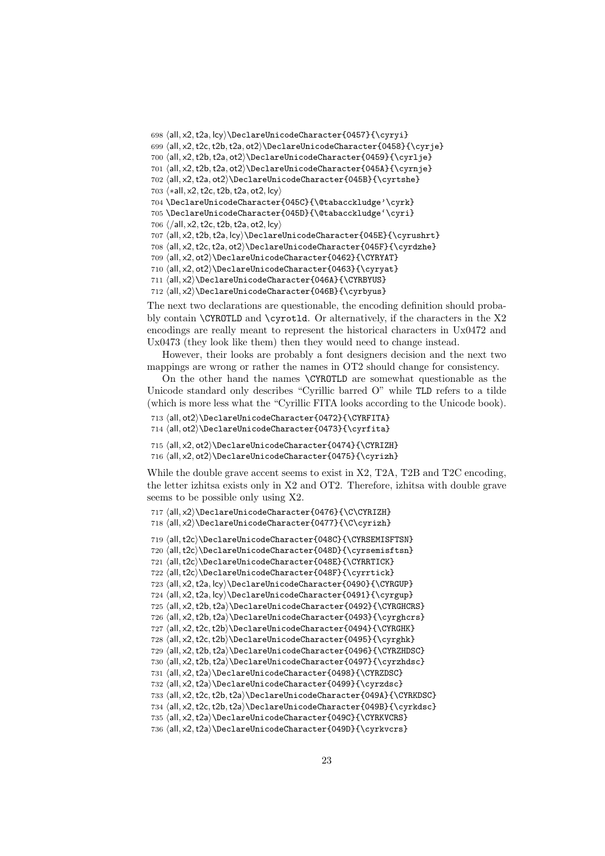⟨all, x2,t2a, lcy⟩\DeclareUnicodeCharacter{0457}{\cyryi} ⟨all, x2,t2c,t2b,t2a, ot2⟩\DeclareUnicodeCharacter{0458}{\cyrje} ⟨all, x2,t2b,t2a, ot2⟩\DeclareUnicodeCharacter{0459}{\cyrlje} ⟨all, x2,t2b,t2a, ot2⟩\DeclareUnicodeCharacter{045A}{\cyrnje} ⟨all, x2,t2a, ot2⟩\DeclareUnicodeCharacter{045B}{\cyrtshe} ⟨∗all, x2,t2c,t2b,t2a, ot2, lcy⟩ \DeclareUnicodeCharacter{045C}{\@tabacckludge'\cyrk} \DeclareUnicodeCharacter{045D}{\@tabacckludge'\cyri}  $706 \ \langle /all, x2, t2c, t2b, t2a, ot2, lcy \rangle$  ⟨all, x2,t2b,t2a, lcy⟩\DeclareUnicodeCharacter{045E}{\cyrushrt} ⟨all, x2,t2c,t2a, ot2⟩\DeclareUnicodeCharacter{045F}{\cyrdzhe} ⟨all, x2, ot2⟩\DeclareUnicodeCharacter{0462}{\CYRYAT} ⟨all, x2, ot2⟩\DeclareUnicodeCharacter{0463}{\cyryat} ⟨all, x2⟩\DeclareUnicodeCharacter{046A}{\CYRBYUS}

⟨all, x2⟩\DeclareUnicodeCharacter{046B}{\cyrbyus}

The next two declarations are questionable, the encoding definition should probably contain  $\C{YROTLD}$  and  $\cyrot1d$ . Or alternatively, if the characters in the X2 encodings are really meant to represent the historical characters in Ux0472 and Ux0473 (they look like them) then they would need to change instead.

However, their looks are probably a font designers decision and the next two mappings are wrong or rather the names in OT2 should change for consistency.

On the other hand the names \CYROTLD are somewhat questionable as the Unicode standard only describes "Cyrillic barred O" while TLD refers to a tilde (which is more less what the "Cyrillic FITA looks according to the Unicode book).

```
713 ⟨all, ot2⟩\DeclareUnicodeCharacter{0472}{\CYRFITA}
714 ⟨all, ot2⟩\DeclareUnicodeCharacter{0473}{\cyrfita}
```

```
715 ⟨all, x2, ot2⟩\DeclareUnicodeCharacter{0474}{\CYRIZH}
716 ⟨all, x2, ot2⟩\DeclareUnicodeCharacter{0475}{\cyrizh}
```
While the double grave accent seems to exist in X2, T2A, T2B and T2C encoding, the letter izhitsa exists only in X2 and OT2. Therefore, izhitsa with double grave seems to be possible only using X2.

⟨all, x2⟩\DeclareUnicodeCharacter{0476}{\C\CYRIZH}

⟨all, x2⟩\DeclareUnicodeCharacter{0477}{\C\cyrizh}

⟨all,t2c⟩\DeclareUnicodeCharacter{048C}{\CYRSEMISFTSN}

720  $\all, t2c\rangle\DeclareUnicodeCharacter{048D}{{cyresemistsn}}$ 

⟨all,t2c⟩\DeclareUnicodeCharacter{048E}{\CYRRTICK}

⟨all,t2c⟩\DeclareUnicodeCharacter{048F}{\cyrrtick}

⟨all, x2,t2a, lcy⟩\DeclareUnicodeCharacter{0490}{\CYRGUP}

724  $\{all, x2, t2a, lcy\DeclarelUnicodeCharacter{0491}{\cyrgup}\$ 

 ⟨all, x2,t2b,t2a⟩\DeclareUnicodeCharacter{0492}{\CYRGHCRS} ⟨all, x2,t2b,t2a⟩\DeclareUnicodeCharacter{0493}{\cyrghcrs}

727 (all, x2, t2c, t2b)\DeclareUnicodeCharacter{0494}{\CYRGHK}

⟨all, x2,t2c,t2b⟩\DeclareUnicodeCharacter{0495}{\cyrghk}

⟨all, x2,t2b,t2a⟩\DeclareUnicodeCharacter{0496}{\CYRZHDSC}

⟨all, x2,t2b,t2a⟩\DeclareUnicodeCharacter{0497}{\cyrzhdsc}

⟨all, x2,t2a⟩\DeclareUnicodeCharacter{0498}{\CYRZDSC}

⟨all, x2,t2a⟩\DeclareUnicodeCharacter{0499}{\cyrzdsc}

⟨all, x2,t2c,t2b,t2a⟩\DeclareUnicodeCharacter{049A}{\CYRKDSC}

⟨all, x2,t2c,t2b,t2a⟩\DeclareUnicodeCharacter{049B}{\cyrkdsc}

⟨all, x2,t2a⟩\DeclareUnicodeCharacter{049C}{\CYRKVCRS}

⟨all, x2,t2a⟩\DeclareUnicodeCharacter{049D}{\cyrkvcrs}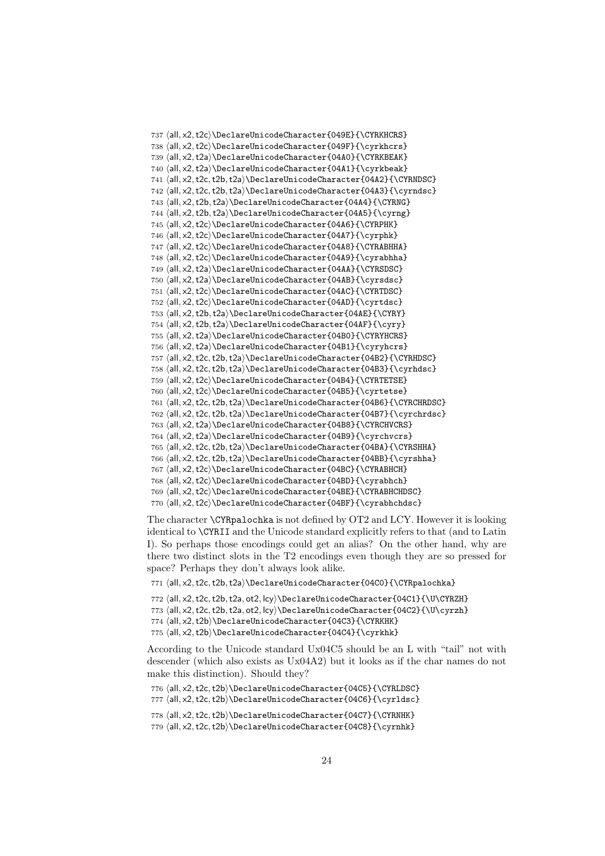```
737 ⟨all, x2,t2c⟩\DeclareUnicodeCharacter{049E}{\CYRKHCRS}
738 ⟨all, x2,t2c⟩\DeclareUnicodeCharacter{049F}{\cyrkhcrs}
739 ⟨all, x2,t2a⟩\DeclareUnicodeCharacter{04A0}{\CYRKBEAK}
740 ⟨all, x2,t2a⟩\DeclareUnicodeCharacter{04A1}{\cyrkbeak}
741 ⟨all, x2,t2c,t2b,t2a⟩\DeclareUnicodeCharacter{04A2}{\CYRNDSC}
742 ⟨all, x2,t2c,t2b,t2a⟩\DeclareUnicodeCharacter{04A3}{\cyrndsc}
743 ⟨all, x2,t2b,t2a⟩\DeclareUnicodeCharacter{04A4}{\CYRNG}
744 \all, x2, t2b, t2a\rangle\DeclarelUnicodeCharacter{04A5}{\cyrng}745 ⟨all, x2,t2c⟩\DeclareUnicodeCharacter{04A6}{\CYRPHK}
746 \{all, x2, t2c\\DeclarelUnicodeCharacter{04A7}{\cyrphk}747 ⟨all, x2,t2c⟩\DeclareUnicodeCharacter{04A8}{\CYRABHHA}
748 ⟨all, x2,t2c⟩\DeclareUnicodeCharacter{04A9}{\cyrabhha}
749 ⟨all, x2,t2a⟩\DeclareUnicodeCharacter{04AA}{\CYRSDSC}
750 ⟨all, x2,t2a⟩\DeclareUnicodeCharacter{04AB}{\cyrsdsc}
751 ⟨all, x2,t2c⟩\DeclareUnicodeCharacter{04AC}{\CYRTDSC}
752 ⟨all, x2,t2c⟩\DeclareUnicodeCharacter{04AD}{\cyrtdsc}
753 ⟨all, x2,t2b,t2a⟩\DeclareUnicodeCharacter{04AE}{\CYRY}
754 ⟨all, x2,t2b,t2a⟩\DeclareUnicodeCharacter{04AF}{\cyry}
755 ⟨all, x2,t2a⟩\DeclareUnicodeCharacter{04B0}{\CYRYHCRS}
756 ⟨all, x2,t2a⟩\DeclareUnicodeCharacter{04B1}{\cyryhcrs}
757 ⟨all, x2,t2c,t2b,t2a⟩\DeclareUnicodeCharacter{04B2}{\CYRHDSC}
758 (all, x2, t2c, t2b, t2a)\DeclareUnicodeCharacter{04B3}{\cyrhdsc}
759 ⟨all, x2,t2c⟩\DeclareUnicodeCharacter{04B4}{\CYRTETSE}
760 ⟨all, x2,t2c⟩\DeclareUnicodeCharacter{04B5}{\cyrtetse}
761 ⟨all, x2,t2c,t2b,t2a⟩\DeclareUnicodeCharacter{04B6}{\CYRCHRDSC}
762 ⟨all, x2,t2c,t2b,t2a⟩\DeclareUnicodeCharacter{04B7}{\cyrchrdsc}
763 ⟨all, x2,t2a⟩\DeclareUnicodeCharacter{04B8}{\CYRCHVCRS}
764 ⟨all, x2,t2a⟩\DeclareUnicodeCharacter{04B9}{\cyrchvcrs}
765 ⟨all, x2,t2c,t2b,t2a⟩\DeclareUnicodeCharacter{04BA}{\CYRSHHA}
766 ⟨all, x2,t2c,t2b,t2a⟩\DeclareUnicodeCharacter{04BB}{\cyrshha}
767 ⟨all, x2,t2c⟩\DeclareUnicodeCharacter{04BC}{\CYRABHCH}
768 ⟨all, x2,t2c⟩\DeclareUnicodeCharacter{04BD}{\cyrabhch}
769 ⟨all, x2,t2c⟩\DeclareUnicodeCharacter{04BE}{\CYRABHCHDSC}
770 \all, x2, t2c\rangle\DeclarelUnicodeCharacter{04BF}{\cyrabhchdsc}
```
The character \CYRpalochka is not defined by OT2 and LCY. However it is looking identical to \CYRII and the Unicode standard explicitly refers to that (and to Latin I). So perhaps those encodings could get an alias? On the other hand, why are there two distinct slots in the T2 encodings even though they are so pressed for space? Perhaps they don't always look alike.

⟨all, x2,t2c,t2b,t2a⟩\DeclareUnicodeCharacter{04C0}{\CYRpalochka}

⟨all, x2,t2c,t2b,t2a, ot2, lcy⟩\DeclareUnicodeCharacter{04C1}{\U\CYRZH}

773  $\all, x2, t2c, t2b, t2a, ot2, lcy\\DeclarelUnicodeCharacter{04C2}{\U\cyrzh}$ 

⟨all, x2,t2b⟩\DeclareUnicodeCharacter{04C3}{\CYRKHK}

775  $\langle$ all, x2,t2b $\rangle\DeclarelUnicodeCharacter{04C4}{\cyrkhk}$ 

According to the Unicode standard Ux04C5 should be an L with "tail" not with descender (which also exists as Ux04A2) but it looks as if the char names do not make this distinction). Should they?

⟨all, x2,t2c,t2b⟩\DeclareUnicodeCharacter{04C5}{\CYRLDSC}

777 (all, x2, t2c, t2b)\DeclareUnicodeCharacter{04C6}{\cyrldsc}

⟨all, x2,t2c,t2b⟩\DeclareUnicodeCharacter{04C7}{\CYRNHK}

779  $\all, x2, t2c, t2b$ ) DeclareUnicodeCharacter{04C8}{\cyrnhk}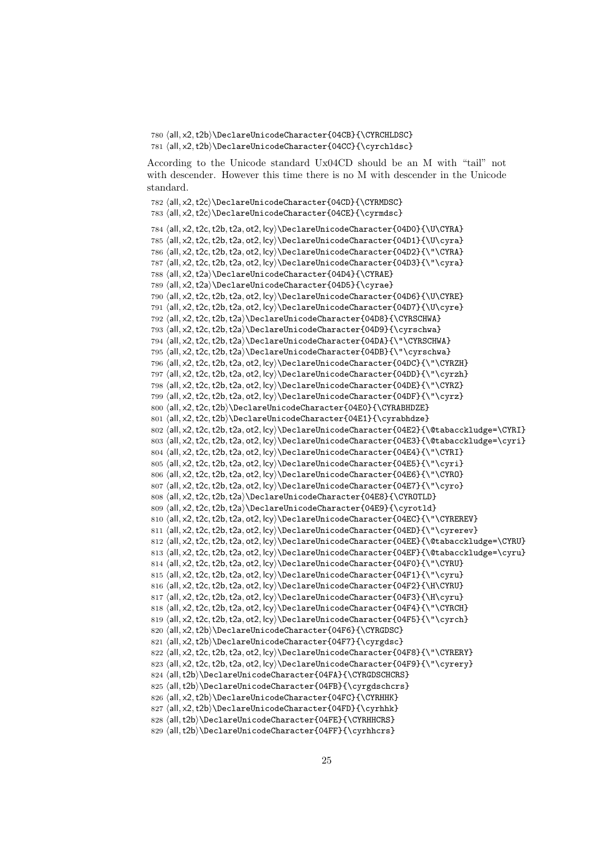780 ⟨all, x2,t2b⟩\DeclareUnicodeCharacter{04CB}{\CYRCHLDSC} 781 ⟨all, x2,t2b⟩\DeclareUnicodeCharacter{04CC}{\cyrchldsc}

According to the Unicode standard Ux04CD should be an M with "tail" not with descender. However this time there is no M with descender in the Unicode standard.

```
782 ⟨all, x2,t2c⟩\DeclareUnicodeCharacter{04CD}{\CYRMDSC}
783 ⟨all, x2,t2c⟩\DeclareUnicodeCharacter{04CE}{\cyrmdsc}
784 ⟨all, x2,t2c,t2b,t2a, ot2, lcy⟩\DeclareUnicodeCharacter{04D0}{\U\CYRA}
785 (all, x2, t2c, t2b, t2a, ot2, lcy)\DeclareUnicodeCharacter{04D1}{\U\cyra}
786 ⟨all, x2,t2c,t2b,t2a, ot2, lcy⟩\DeclareUnicodeCharacter{04D2}{\"\CYRA}
787 ⟨all, x2,t2c,t2b,t2a, ot2, lcy⟩\DeclareUnicodeCharacter{04D3}{\"\cyra}
788 ⟨all, x2,t2a⟩\DeclareUnicodeCharacter{04D4}{\CYRAE}
789 ⟨all, x2,t2a⟩\DeclareUnicodeCharacter{04D5}{\cyrae}
790 ⟨all, x2,t2c,t2b,t2a, ot2, lcy⟩\DeclareUnicodeCharacter{04D6}{\U\CYRE}
791 ⟨all, x2,t2c,t2b,t2a, ot2, lcy⟩\DeclareUnicodeCharacter{04D7}{\U\cyre}
792 ⟨all, x2,t2c,t2b,t2a⟩\DeclareUnicodeCharacter{04D8}{\CYRSCHWA}
793 (all, x2, t2c, t2b, t2a)\DeclareUnicodeCharacter{04D9}{\cyrschwa}
794 ⟨all, x2,t2c,t2b,t2a⟩\DeclareUnicodeCharacter{04DA}{\"\CYRSCHWA}
795 ⟨all, x2,t2c,t2b,t2a⟩\DeclareUnicodeCharacter{04DB}{\"\cyrschwa}
796 ⟨all, x2,t2c,t2b,t2a, ot2, lcy⟩\DeclareUnicodeCharacter{04DC}{\"\CYRZH}
797 ⟨all, x2,t2c,t2b,t2a, ot2, lcy⟩\DeclareUnicodeCharacter{04DD}{\"\cyrzh}
798 ⟨all, x2,t2c,t2b,t2a, ot2, lcy⟩\DeclareUnicodeCharacter{04DE}{\"\CYRZ}
799 ⟨all, x2,t2c,t2b,t2a, ot2, lcy⟩\DeclareUnicodeCharacter{04DF}{\"\cyrz}
800 (all, x2, t2c, t2b)\DeclareUnicodeCharacter{04E0}{\CYRABHDZE}
801 \all, x2, t2c, t2b) DeclareUnicodeCharacter{04E1}{\cyrabhdze}
802 ⟨all, x2,t2c,t2b,t2a, ot2, lcy⟩\DeclareUnicodeCharacter{04E2}{\@tabacckludge=\CYRI}
803 (all, x2, t2c, t2b, t2a, ot2, lcy)\DeclareUnicodeCharacter{04E3}{\@tabacckludge=\cyri}
804 \langleall, x2, t2c, t2b, t2a, ot2, lcy\rangle\DeclarelUnicodeCharacter{04E4}{\"\CYRI}
805 ⟨all, x2,t2c,t2b,t2a, ot2, lcy⟩\DeclareUnicodeCharacter{04E5}{\"\cyri}
806 \alphall, x2, t2c, t2b, t2a, ot2, lcy \DeclareUnicodeCharacter{04E6}{\"\CYRO}
807 (all, x2, t2c, t2b, t2a, ot2, lcy) \DeclareUnicodeCharacter{04E7}{\"\cyro}
808 \deltall, x2, t2c, t2b, t2a)\DeclareUnicodeCharacter{04E8}{\CYROTLD}
809 (all, x2, t2c, t2b, t2a)\DeclareUnicodeCharacter{04E9}{\cyrotld}
810 ⟨all, x2,t2c,t2b,t2a, ot2, lcy⟩\DeclareUnicodeCharacter{04EC}{\"\CYREREV}
811 \left\{ \alpha, \alpha, \gamma \geq 811 \right\} (all, x2, t2c, t2b, t2a, ot2, lcy) \DeclareUnicodeCharacter{04ED}{\"\cyrerev}
812 \all, x2, t2c, t2b, t2a, ot2, lcy \DeclareUnicodeCharacter{04EE}{\@tabacckludge=\CYRU}
813 \all, x2, t2c, t2b, t2a, ot2, lcy\\DeclarelUnicodeCharacter{04EF}{\thetaacckludge=\cyru}814 \all, x2, t2c, t2b, t2a, ot2, lcy\\DeclarelUnicodeCharacter{04F0}{\\"CYRU}815 \langleall, x2, t2c, t2b, t2a, ot2, lcy\rangle\DeclarelUnicodeCharacter{04F1}{\`cyru}
816 \langleall, x2, t2c, t2b, t2a, ot2, lcy \DeclareUnicodeCharacter{04F2}{\H\CYRU}
817 \all, x2, t2c, t2b, t2a, ot2, lcy)\DeclarelUnicodeCharacter{04F3}{\H\cyru}818 \all, x2, t2c, t2b, t2a, ot2, lcy\\DeclarelUnicodeCharacter{04F4}{\''CYRCH}819 ⟨all, x2,t2c,t2b,t2a, ot2, lcy⟩\DeclareUnicodeCharacter{04F5}{\"\cyrch}
820 \langleall, x2,t2b\rangle\DeclareUnicodeCharacter{04F6}{\CYRGDSC}821 (all, x2, t2b)\DeclareUnicodeCharacter{04F7}{\cyrgdsc}
822 (all, x2, t2c, t2b, t2a, ot2, lcy) \DeclareUnicodeCharacter{04F8}{\"\CYRERY}
823 (all, x2, t2c, t2b, t2a, ot2, lcy) \DeclareUnicodeCharacter{04F9}{\"\cyrery}
824 (all,t2b)\DeclareUnicodeCharacter{04FA}{\CYRGDSCHCRS}
825 (all,t2b)\DeclareUnicodeCharacter{04FB}{\cyrgdschcrs}
826 \all, x2, t2b DeclareUnicodeCharacter{04FC}{\CYRHHK}
827 \alphall, x2,t2b)\DeclareUnicodeCharacter{04FD}{\cyrhhk}
828 (all.t2b)\DeclareUnicodeCharacter{04FE}{\CYRHHCRS}
829 \deltall,t2b)\DeclareUnicodeCharacter{04FF}{\cyrhhcrs}
```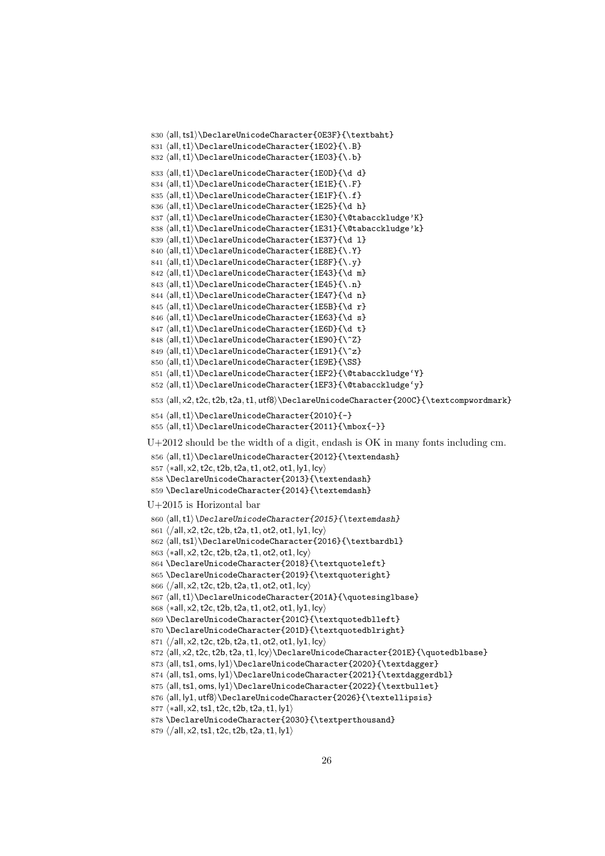```
830 \all,ts1\rangle\DeclarelUnicodeCharacter{OEST}{\textbf{)}831 \langleall,t1\rangle\DeclareUnicodeCharacter{1E02}{\.B}
832 ⟨all,t1⟩\DeclareUnicodeCharacter{1E03}{\.b}
833 \langleall,t1\rangle\DeclareUnicodeCharacter{1E0D}{\d d}
834 ⟨all,t1⟩\DeclareUnicodeCharacter{1E1E}{\.F}
835 \langleall,t1\rangle\DeclareUnicodeCharacter{1E1F}{\.f}
836 \langleall,t1\rangle\DeclarelUnicodeCharacter{1E25}{\d h}837 (all,t1)\DeclareUnicodeCharacter{1E30}{\@tabacckludge'K}
838 (all,t1)\DeclareUnicodeCharacter{1E31}{\@tabacckludge'k}
839 \langleall,t1\rangle\DeclarelUnicodeCharacter{1E37}{\d 1}840 ⟨all,t1⟩\DeclareUnicodeCharacter{1E8E}{\.Y}
841 ⟨all,t1⟩\DeclareUnicodeCharacter{1E8F}{\.y}
842 \all, t1\rangle\DeclareUnicodeCharacter{1E43}{\d m}843 ⟨all,t1⟩\DeclareUnicodeCharacter{1E45}{\.n}
844 \all, t1\rangle\DeclarelUnicodeCharacter{1E47}{\d n}845 \{all, t1\} DeclareUnicodeCharacter{1E5B}{\d r}
846 ⟨all,t1⟩\DeclareUnicodeCharacter{1E63}{\d s}
847 \left\{ \mathcal{L} \right\} \DeclareUnicodeCharacter{1E6D}{\d t}
848 \{all, t1\} DeclareUnicodeCharacter{1E90}{\^Z}
849 \{all, t1\}DeclareUnicodeCharacter{1E91}{\^z}
850 ⟨all,t1⟩\DeclareUnicodeCharacter{1E9E}{\SS}
851 ⟨all,t1⟩\DeclareUnicodeCharacter{1EF2}{\@tabacckludge'Y}
852 ⟨all,t1⟩\DeclareUnicodeCharacter{1EF3}{\@tabacckludge'y}
853 (all, x2, t2c, t2b, t2a, t1, utf8)\DeclareUnicodeCharacter{200C}{\textcompwordmark}
854 ⟨all,t1⟩\DeclareUnicodeCharacter{2010}{-}
855 ⟨all,t1⟩\DeclareUnicodeCharacter{2011}{\mbox{-}}
U+2012 should be the width of a digit, endash is OK in many fonts including cm.
856 ⟨all,t1⟩\DeclareUnicodeCharacter{2012}{\textendash}
857 ⟨∗all, x2,t2c,t2b,t2a,t1, ot2, ot1, ly1, lcy⟩
858 \DeclareUnicodeCharacter{2013}{\textendash}
859 \DeclareUnicodeCharacter{2014}{\textemdash}
U+2015 is Horizontal bar
860 \{all, t1\} DeclareUnicodeCharacter{2015}{\textemdash}
861 ⟨/all, x2,t2c,t2b,t2a,t1, ot2, ot1, ly1, lcy⟩
862 (all,ts1)\DeclareUnicodeCharacter{2016}{\textbardbl}
863 ⟨∗all, x2,t2c,t2b,t2a,t1, ot2, ot1, lcy⟩
864 \DeclareUnicodeCharacter{2018}{\textquoteleft}
865 \DeclareUnicodeCharacter{2019}{\textquoteright}
866 ⟨/all, x2,t2c,t2b,t2a,t1, ot2, ot1, lcy⟩
867 ⟨all,t1⟩\DeclareUnicodeCharacter{201A}{\quotesinglbase}
868 ⟨∗all, x2,t2c,t2b,t2a,t1, ot2, ot1, ly1, lcy⟩
869 \DeclareUnicodeCharacter{201C}{\textquotedblleft}
870 \DeclareUnicodeCharacter{201D}{\textquotedblright}
871 ⟨/all, x2,t2c,t2b,t2a,t1, ot2, ot1, ly1, lcy⟩
872 (all, x2, t2c, t2b, t2a, t1, lcy) \DeclareUnicodeCharacter{201E}{\quotedblbase}
873 (all,ts1, oms, ly1)\DeclareUnicodeCharacter{2020}{\textdagger}
874 (all, ts1, oms, ly1)\DeclareUnicodeCharacter{2021}{\textdaggerdbl}
875 (all,ts1, oms, ly1)\DeclareUnicodeCharacter{2022}{\textbullet}
876 \all, ly1, utf8\rangle\DeclarelUnicodeCharacter{2026}{\text{extellipsis}}877 ⟨∗all, x2,ts1,t2c,t2b,t2a,t1, ly1⟩
878 \DeclareUnicodeCharacter{2030}{\textperthousand}
```

```
879 ⟨/all, x2,ts1,t2c,t2b,t2a,t1, ly1⟩
```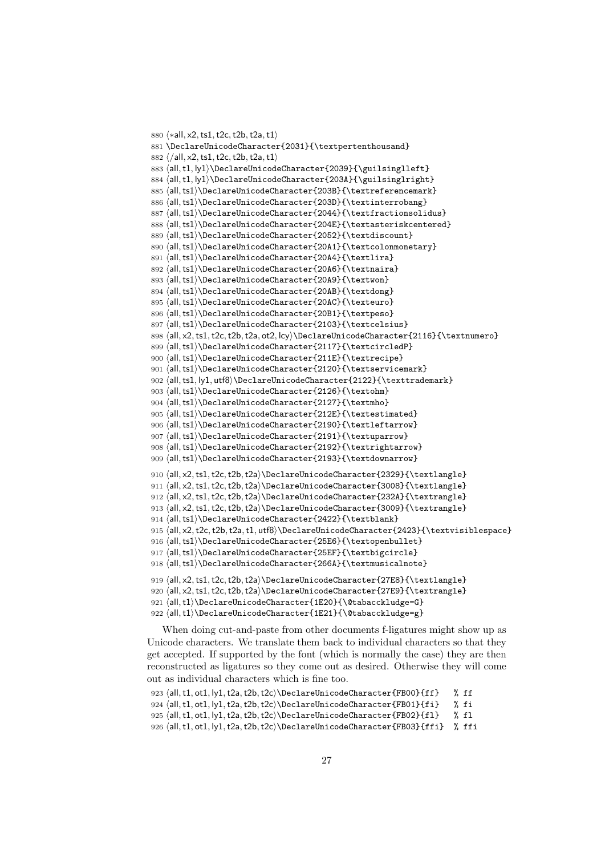```
880 ⟨∗all, x2,ts1,t2c,t2b,t2a,t1⟩
881 \DeclareUnicodeCharacter{2031}{\textpertenthousand}
882 ⟨/all, x2,ts1,t2c,t2b,t2a,t1⟩
883 \all, t1, \vert v1 \rangle DeclareUnicodeCharacter{2039}{\guilsinglleft}
884 \all, t1, ly1\rangle\DeclarelUnicodeCharacter{203A}{equilsinglright}885 (all,ts1)\DeclareUnicodeCharacter{203B}{\textreferencemark}
886 (all,ts1)\DeclareUnicodeCharacter{203D}{\textinterrobang}
887 (all,ts1)\DeclareUnicodeCharacter{2044}{\textfractionsolidus}
888 \all,ts1\rangle\DeclarelUnicodeCharacter{204E}{textasteriskcentered}889 ⟨all,ts1⟩\DeclareUnicodeCharacter{2052}{\textdiscount}
890 \all,ts1\rangle\DeclarelUnicodeCharacter{20A1}{textcolommonetary}891 ⟨all,ts1⟩\DeclareUnicodeCharacter{20A4}{\textlira}
892 \all,ts1\rangle\DeclarelUnicodeCharacter{20A6}{\textvaraira}893 (all,ts1)\DeclareUnicodeCharacter{20A9}{\textwon}
894 \all,ts1\rangle\DeclarelUnicodeCharacter{20AB}{\text{extrdong}}895 \all,ts1\rangle\DeclarelUnicodeCharacter{20AC}{\texteuro}896 ⟨all,ts1⟩\DeclareUnicodeCharacter{20B1}{\textpeso}
897 \all,ts1\rangle\DeclarelUnicodeCharacter{2103}{\textcelsius}898 \all, x2, ts1, t2c, t2b, t2a, ot2, lcy\\\DeclaredUnicodeCharacter{2116}{\texttt{return}899 \all,ts1\rangle\DeclarelUnicodeCharacter{2117}{\textcircledP}900 \all,ts1\rangle\DeclarelUnicodeCharacter{211E}{\text{re})}901 ⟨all,ts1⟩\DeclareUnicodeCharacter{2120}{\textservicemark}
902 ⟨all,ts1, ly1, utf8⟩\DeclareUnicodeCharacter{2122}{\texttrademark}
903 \all,ts1\rangle\DeclaredUnicodeCharacter{2126}{\text{or}}904 ⟨all,ts1⟩\DeclareUnicodeCharacter{2127}{\textmho}
905 \all,ts1\rangle\DeclarelUnicodeCharacter{212E}{\textestimated}906 \all,ts1\rangle\DeclarelUnicodeCharacter{2190}{\textttleftarrow}907 ⟨all,ts1⟩\DeclareUnicodeCharacter{2191}{\textuparrow}
908 ⟨all,ts1⟩\DeclareUnicodeCharacter{2192}{\textrightarrow}
909 ⟨all,ts1⟩\DeclareUnicodeCharacter{2193}{\textdownarrow}
910 \left\{ \text{all}, x2, ts1, t2c, t2b, t2a \Delta\text{UnicodeCharacter} \text{2329}911 \all, x2, ts1, t2c, t2b, t2a DeclareUnicodeCharacter{3008}{\textlangle}
912 ⟨all, x2,ts1,t2c,t2b,t2a⟩\DeclareUnicodeCharacter{232A}{\textrangle}
913 \all, x2, ts1, t2c, t2b, t2a DeclareUnicodeCharacter{3009}{\textrangle}
914 \all,ts1\rangle\DeclarelUnicodeCharacter{2422}{\textblank}915 ⟨all, x2,t2c,t2b,t2a,t1, utf8⟩\DeclareUnicodeCharacter{2423}{\textvisiblespace}
916 \all,ts1\rangle\DeclarelUnicodeCharacter{25E6}{\texttt{obendullet}}917 ⟨all,ts1⟩\DeclareUnicodeCharacter{25EF}{\textbigcircle}
918 \all,ts1\rangle\DeclarelUnicodeCharacter{266A}{\textttmusicalnote}919 ⟨all, x2,ts1,t2c,t2b,t2a⟩\DeclareUnicodeCharacter{27E8}{\textlangle}
920 ⟨all, x2,ts1,t2c,t2b,t2a⟩\DeclareUnicodeCharacter{27E9}{\textrangle}
921 ⟨all,t1⟩\DeclareUnicodeCharacter{1E20}{\@tabacckludge=G}
922 ⟨all,t1⟩\DeclareUnicodeCharacter{1E21}{\@tabacckludge=g}
```
When doing cut-and-paste from other documents f-ligatures might show up as Unicode characters. We translate them back to individual characters so that they get accepted. If supported by the font (which is normally the case) they are then reconstructed as ligatures so they come out as desired. Otherwise they will come out as individual characters which is fine too.

```
923 (all,t1, ot1, ly1,t2a,t2b,t2c)\DeclareUnicodeCharacter{FB00}{ff} % ff
924 ⟨all,t1, ot1, ly1,t2a,t2b,t2c⟩\DeclareUnicodeCharacter{FB01}{fi} % fi
925 (all,t1, ot1, ly1,t2a,t2b,t2c)\DeclareUnicodeCharacter{FB02}{fl} % fl
926 ⟨all,t1, ot1, ly1,t2a,t2b,t2c⟩\DeclareUnicodeCharacter{FB03}{ffi} % ffi
```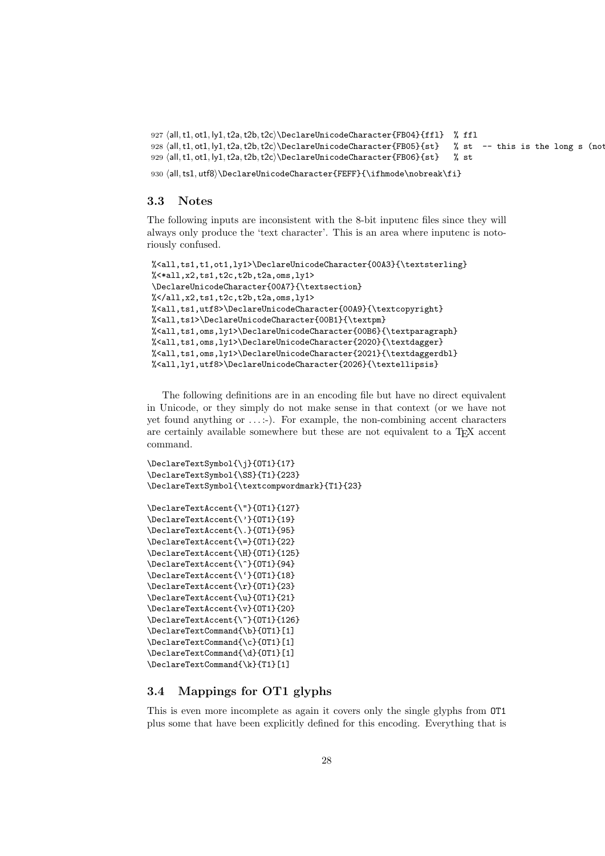```
927 ⟨all,t1, ot1, ly1,t2a,t2b,t2c⟩\DeclareUnicodeCharacter{FB04}{ffl} % ffl
928 (all,t1, ot1, ly1,t2a,t2b,t2c)\DeclareUnicodeCharacter{FB05}{st} % st -- this is the long s (not
929 (all,t1, ot1, ly1,t2a,t2b,t2c)\DeclareUnicodeCharacter{FB06}{st} % st
```
930  $\all, tsl, utf8\rangle\DeclarelUnicodeCharacter{FEFF}{\ifhmode\nobreak\nobreak\ref{}$ 

#### <span id="page-27-0"></span>3.3 Notes

The following inputs are inconsistent with the 8-bit inputenc files since they will always only produce the 'text character'. This is an area where inputenc is notoriously confused.

```
%<all,ts1,t1,ot1,ly1>\DeclareUnicodeCharacter{00A3}{\textsterling}
%<*all,x2,ts1,t2c,t2b,t2a,oms,ly1>
\DeclareUnicodeCharacter{00A7}{\textsection}
%</all,x2,ts1,t2c,t2b,t2a,oms,ly1>
%<all,ts1,utf8>\DeclareUnicodeCharacter{00A9}{\textcopyright}
%<all,ts1>\DeclareUnicodeCharacter{00B1}{\textpm}
%<all,ts1,oms,ly1>\DeclareUnicodeCharacter{00B6}{\textparagraph}
%<all,ts1,oms,ly1>\DeclareUnicodeCharacter{2020}{\textdagger}
%<all,ts1,oms,ly1>\DeclareUnicodeCharacter{2021}{\textdaggerdbl}
%<all,ly1,utf8>\DeclareUnicodeCharacter{2026}{\textellipsis}
```
The following definitions are in an encoding file but have no direct equivalent in Unicode, or they simply do not make sense in that context (or we have not yet found anything or  $\dots$ :-). For example, the non-combining accent characters are certainly available somewhere but these are not equivalent to a TEX accent command.

```
\DeclareTextSymbol{\j}{OT1}{17}
\DeclareTextSymbol{\SS}{T1}{223}
\DeclareTextSymbol{\textcompwordmark}{T1}{23}
\DeclareTextAccent{\"}{OT1}{127}
\DeclareTextAccent{\'}{OT1}{19}
```

```
\DeclareTextAccent{\.}{OT1}{95}
\DeclareTextAccent{\=}{OT1}{22}
\DeclareTextAccent{\H}{OT1}{125}
\DeclareTextAccent{\^}{OT1}{94}
\DeclareTextAccent{\'}{OT1}{18}
\DeclareTextAccent{\r}{OT1}{23}
\DeclareTextAccent{\u}{OT1}{21}
\DeclareTextAccent{\v}{OT1}{20}
\DeclareTextAccent{\~}{OT1}{126}
\DeclareTextCommand{\b}{OT1}[1]
\DeclareTextCommand{\c}{OT1}[1]
\DeclareTextCommand{\d}{OT1}[1]
\DeclareTextCommand{\k}{T1}[1]
```
## <span id="page-27-1"></span>3.4 Mappings for OT1 glyphs

This is even more incomplete as again it covers only the single glyphs from OT1 plus some that have been explicitly defined for this encoding. Everything that is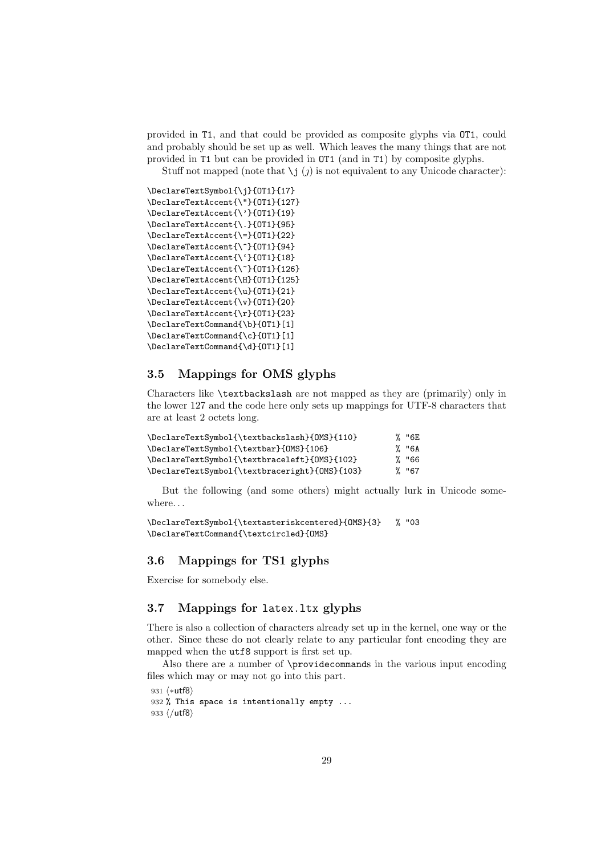provided in T1, and that could be provided as composite glyphs via OT1, could and probably should be set up as well. Which leaves the many things that are not provided in T1 but can be provided in OT1 (and in T1) by composite glyphs.

Stuff not mapped (note that  $\iota$  i  $(j)$ ) is not equivalent to any Unicode character):

```
\DeclareTextSymbol{\j}{OT1}{17}
\DeclareTextAccent{\"}{OT1}{127}
\DeclareTextAccent{\'}{OT1}{19}
\DeclareTextAccent{\.}{OT1}{95}
\DeclareTextAccent{\=}{OT1}{22}
\DeclareTextAccent{\^}{OT1}{94}
\DeclareTextAccent{\'}{OT1}{18}
\DeclareTextAccent{\~}{OT1}{126}
\DeclareTextAccent{\H}{OT1}{125}
\DeclareTextAccent{\u}{OT1}{21}
\DeclareTextAccent{\v}{OT1}{20}
\DeclareTextAccent{\r}{OT1}{23}
\DeclareTextCommand{\b}{OT1}[1]
\DeclareTextCommand{\c}{OT1}[1]
\DeclareTextCommand{\d}{OT1}[1]
```
## <span id="page-28-0"></span>3.5 Mappings for OMS glyphs

Characters like \textbackslash are not mapped as they are (primarily) only in the lower 127 and the code here only sets up mappings for UTF-8 characters that are at least 2 octets long.

| \DeclareTextSymbol{\textbackslash}{OMS}{110}  | % "6E |
|-----------------------------------------------|-------|
| \DeclareTextSymbol{\textbar}{0MS}{106}        | % "6A |
| \DeclareTextSymbol{\textbraceleft}{0MS}{102}  | % "66 |
| \DeclareTextSymbol{\textbraceright}{0MS}{103} | % "67 |

But the following (and some others) might actually lurk in Unicode somewhere. . .

```
\DeclareTextSymbol{\textasteriskcentered}{OMS}{3} % "03
\DeclareTextCommand{\textcircled}{OMS}
```
## <span id="page-28-1"></span>3.6 Mappings for TS1 glyphs

Exercise for somebody else.

## <span id="page-28-2"></span>3.7 Mappings for latex.ltx glyphs

There is also a collection of characters already set up in the kernel, one way or the other. Since these do not clearly relate to any particular font encoding they are mapped when the utf8 support is first set up.

Also there are a number of \providecommands in the various input encoding files which may or may not go into this part.

```
931 ⟨∗utf8⟩
932 % This space is intentionally empty ...
933 ⟨/utf8⟩
```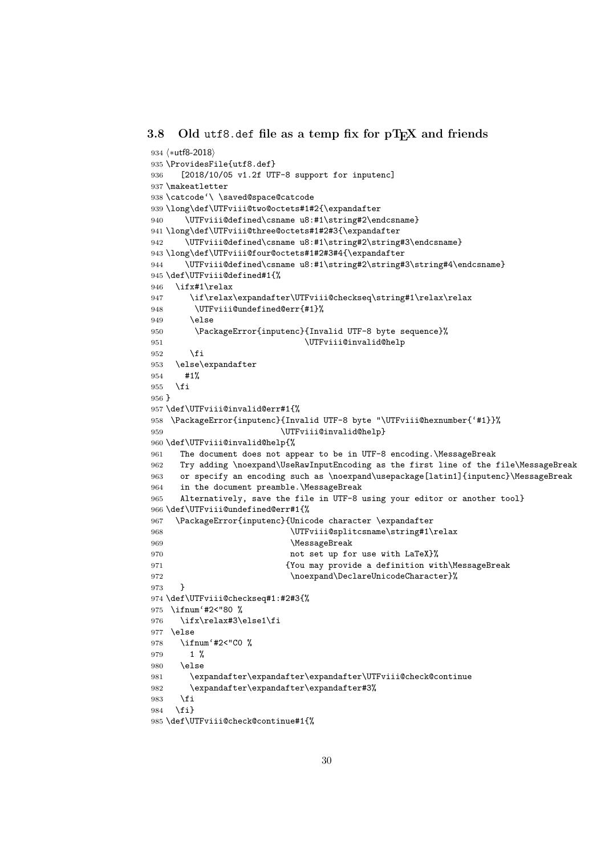#### <span id="page-29-0"></span>3.8 Old utf8.def file as a temp fix for  $pT_FX$  and friends

```
934 ⟨∗utf8-2018⟩
935 \ProvidesFile{utf8.def}
936 [2018/10/05 v1.2f UTF-8 support for inputenc]
937 \makeatletter
938 \catcode'\ \saved@space@catcode
939 \long\def\UTFviii@two@octets#1#2{\expandafter
940 \UTFviii@defined\csname u8:#1\string#2\endcsname}
941 \long\def\UTFviii@three@octets#1#2#3{\expandafter
942 \UTFviii@defined\csname u8:#1\string#2\string#3\endcsname}
943 \long\def\UTFviii@four@octets#1#2#3#4{\expandafter
944 \UTFviii@defined\csname u8:#1\string#2\string#3\string#4\endcsname}
945 \def\UTFviii@defined#1{%
946 \ifx#1\relax
947 \if\relax\expandafter\UTFviii@checkseq\string#1\relax\relax
948 \UTFviii@undefined@err{#1}%
949 \text{delse}950 \PackageError{inputenc}{Invalid UTF-8 byte sequence}%
951 \UTFviii@invalid@help
952 \fi
953 \else\expandafter
954 #1%
955 \fi
956 }
957 \def\UTFviii@invalid@err#1{%
958 \PackageError{inputenc}{Invalid UTF-8 byte "\UTFviii@hexnumber{'#1}}%
959 \UTFviii@invalid@help}
960 \def\UTFviii@invalid@help{%
961 The document does not appear to be in UTF-8 encoding.\MessageBreak
962 Try adding \noexpand\UseRawInputEncoding as the first line of the file\MessageBreak
963 or specify an encoding such as \noexpand\usepackage[latin1]{inputenc}\MessageBreak
964 in the document preamble.\MessageBreak
965 Alternatively, save the file in UTF-8 using your editor or another tool}
966 \def\UTFviii@undefined@err#1{%
967 \PackageError{inputenc}{Unicode character \expandafter
968 \UTFviii@splitcsname\string#1\relax
969 \MessageBreak
970 not set up for use with LaTeX}%
971 6971 6971 6971 (You may provide a definition with\MessageBreak
972 \noexpand\DeclareUnicodeCharacter}%
973 }
974 \def\UTFviii@checkseq#1:#2#3{%
975 \ifnum'#2<"80 %
976 \ifx\relax#3\else1\fi
977 \else
978 \ifnum'#2<"C0 %
979 1 %
980 \else
981 \expandafter\expandafter\expandafter\UTFviii@check@continue
982 \expandafter\expandafter\expandafter#3%
983 \fi
984 \fi}
985 \def\UTFviii@check@continue#1{%
```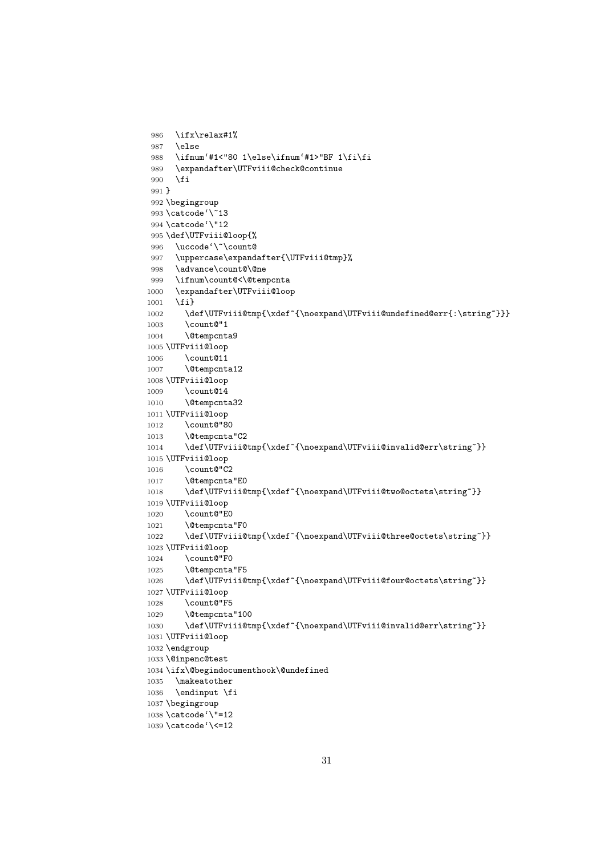```
986 \ifx\relax#1%
987 \else
988 \ifnum'#1<"80 1\else\ifnum'#1>"BF 1\fi\fi
989 \expandafter\UTFviii@check@continue
990 \fi
991 }
992 \begingroup
993 \catcode'\~13
994 \catcode'\"12
995 \def\UTFviii@loop{%
996 \uccode'\~\count@
997 \uppercase\expandafter{\UTFviii@tmp}%
998 \advance\count@\@ne
999 \ifnum\count@<\@tempcnta
1000 \expandafter\UTFviii@loop
1001 \fi}
1002 \def\UTFviii@tmp{\xdef~{\noexpand\UTFviii@undefined@err{:\string~}}}
1003 \count@"1
1004 \@tempcnta9
1005 \UTFviii@loop
1006 \count@11
1007 \@tempcnta12
1008 \UTFviii@loop
1009 \count@14
1010 \@tempcnta32
1011 \UTFviii@loop
1012 \count@"80
1013 \@tempcnta"C2
1014 \def\UTFviii@tmp{\xdef~{\noexpand\UTFviii@invalid@err\string~}}
1015 \UTFviii@loop
1016 \count@"C2
1017 \@tempcnta"E0
1018 \def\UTFviii@tmp{\xdef~{\noexpand\UTFviii@two@octets\string~}}
1019 \UTFviii@loop
1020 \count@"E0
1021 \@tempcnta"F0
1022 \def\UTFviii@tmp{\xdef~{\noexpand\UTFviii@three@octets\string~}}
1023 \UTFviii@loop
1024 \count@"F0
1025 \@tempcnta"F5
1026 \def\UTFviii@tmp{\xdef~{\noexpand\UTFviii@four@octets\string~}}
1027 \UTFviii@loop
1028 \count@"F5
1029 \@tempcnta"100
1030 \def\UTFviii@tmp{\xdef~{\noexpand\UTFviii@invalid@err\string~}}
1031 \UTFviii@loop
1032 \endgroup
1033 \@inpenc@test
1034 \ifx\@begindocumenthook\@undefined
1035 \makeatother
1036 \endinput \fi
1037 \begingroup
1038 \catcode'\"=12
```
\catcode'\<=12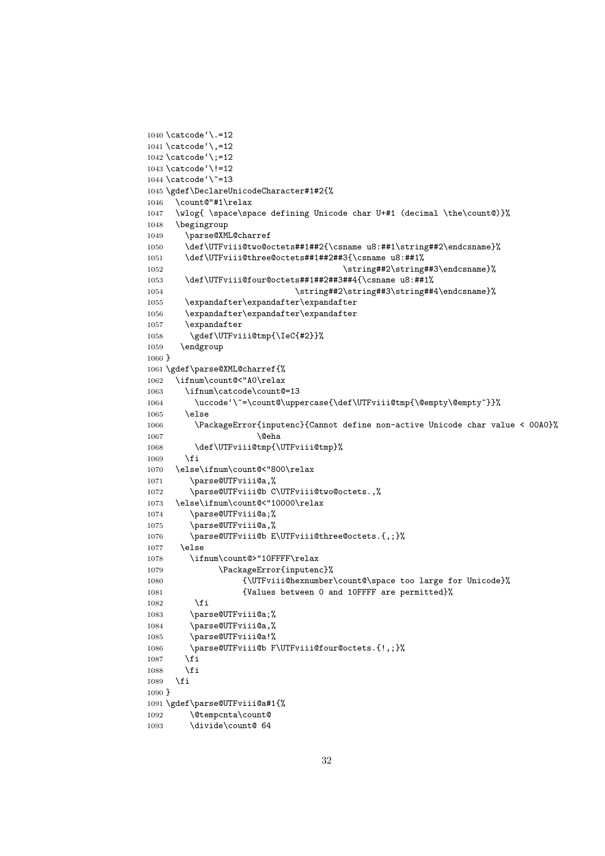```
1040 \catcode'\.=12
1041 \catcode'\,=12
1042 \catcode'\;=12
1043 \catcode'\!=12
1044 \text{ \textdegree}<sup>'</sup>
1045 \gdef\DeclareUnicodeCharacter#1#2{%
1046 \count@"#1\relax
1047 \wlog{ \space\space defining Unicode char U+#1 (decimal \the\count@)}%
1048 \begingroup
1049 \parse@XML@charref
1050 \def\UTFviii@two@octets##1##2{\csname u8:##1\string##2\endcsname}%
1051 \def\UTFviii@three@octets##1##2##3{\csname u8:##1%
1052 \string##2\string##3\endcsname}%
1053 \def\UTFviii@four@octets##1##2##3##4{\csname u8:##1%
1054 \string##2\string##3\string##4\endcsname}%
1055 \expandafter\expandafter\expandafter
1056 \expandafter\expandafter\expandafter
1057 \expandafter
1058 \gdef\UTFviii@tmp{\IeC{#2}}%
1059 \endgroup
1060 }
1061 \gdef\parse@XML@charref{%
1062 \ifnum\count@<"A0\relax
1063 \ifnum\catcode\count@=13
1064 \uccode'\~=\count@\uppercase{\def\UTFviii@tmp{\@empty\@empty~}}%
1065 \else
1066 \PackageError{inputenc}{Cannot define non-active Unicode char value < 00A0}%
1067 \@eha
1068 \def\UTFviii@tmp{\UTFviii@tmp}%
1069 \fi
1070 \else\ifnum\count@<"800\relax
1071 \parse@UTFviii@a,%
1072 \parse@UTFviii@b C\UTFviii@two@octets.,%
1073 \else\ifnum\count@<"10000\relax
1074 \parse@UTFviii@a;%
1075 \parse@UTFviii@a,%
1076 \parse@UTFviii@b E\UTFviii@three@octets.{,;}%
1077 \else
1078 \ifnum\count@>"10FFFF\relax
1079 \PackageError{inputenc}%
1080 {\UTFviii@hexnumber\count@\space too large for Unicode}%
1081 {Values between 0 and 10FFFF are permitted}%
1082 \fi
1083 \parse@UTFviii@a;%
1084 \parse@UTFviii@a,%
1085 \parse@UTFviii@a!%
1086 \parse@UTFviii@b F\UTFviii@four@octets.{!,;}%
1087 \fi
1088 \fi
1089 \fi
1090 }
1091 \gdef\parse@UTFviii@a#1{%
1092 \@tempcnta\count@
1093 \divide\count@ 64
```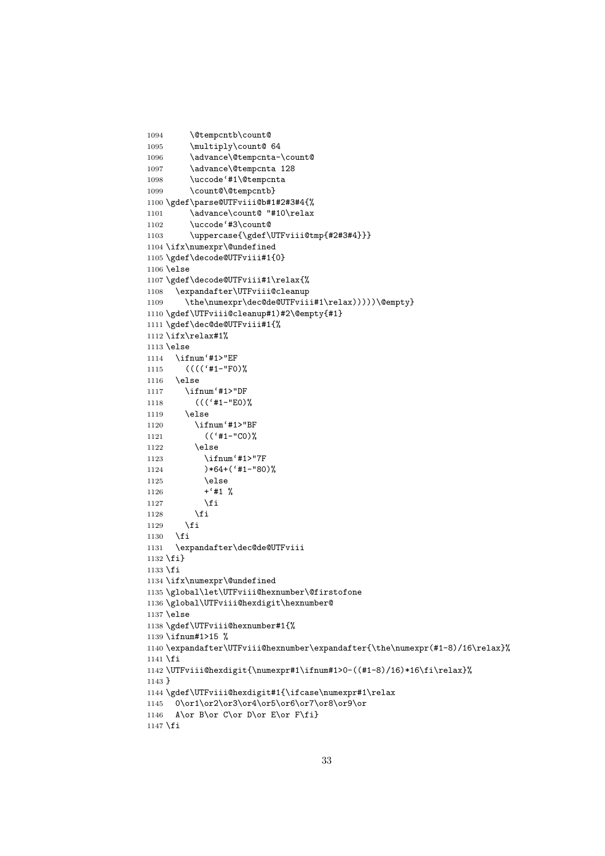```
1095 \multiply\count@ 64
1096 \advance\@tempcnta-\count@
1097 \advance\@tempcnta 128
1098 \uccode'#1\@tempcnta
1099 \count@\@tempcntb}
1100 \gdef\parse@UTFviii@b#1#2#3#4{%
1101 \advance\count@ "#10\relax
1102 \uccode'#3\count@
1103 \uppercase{\gdef\UTFviii@tmp{#2#3#4}}}
1104 \ifx\numexpr\@undefined
1105 \gdef\decode@UTFviii#1{0}
1106 \else
1107 \gdef\decode@UTFviii#1\relax{%
1108 \expandafter\UTFviii@cleanup
1109 \the\numexpr\dec@de@UTFviii#1\relax)))))\@empty}
1110 \gdef\UTFviii@cleanup#1)#2\@empty{#1}
1111 \gdef\dec@de@UTFviii#1{%
1112 \ifx\relax#1%
1113 \else
1114 \ifnum'#1>"EF
1115 (((('#1-"F0)%
1116 \else
1117 \ifnum'#1>"DF
1118 ((('#1-"E0)%
1119 \else
1120 \ifnum'#1>"BF
1121 (('#1-"C0)%
1122 \else
1123 \ifnum'#1>"7F
1124 )*64+('#1-"80)%
1125 \else
1126 + '#1 %
1127 \setminusfi
1128 \fi
1129 \fi
1130 \fi
1131 \expandafter\dec@de@UTFviii
1132 \fi}
1133 \fi
1134 \ifx\numexpr\@undefined
1135 \global\let\UTFviii@hexnumber\@firstofone
1136 \global\UTFviii@hexdigit\hexnumber@
1137 \else
1138 \gdef\UTFviii@hexnumber#1{%
1139 \ifnum#1>15 %
1140 \expandafter\UTFviii@hexnumber\expandafter{\the\numexpr(#1-8)/16\relax}%
1141 \fi
1142 \UTFviii@hexdigit{\numexpr#1\ifnum#1>0-((#1-8)/16)*16\fi\relax}%
1143 }
1144 \gdef\UTFviii@hexdigit#1{\ifcase\numexpr#1\relax
1145 0\or1\or2\or3\or4\or5\or6\or7\or8\or9\or
1146 A\or B\or C\or D\or E\or F\fi}
1147 \fi
```
\@tempcntb\count@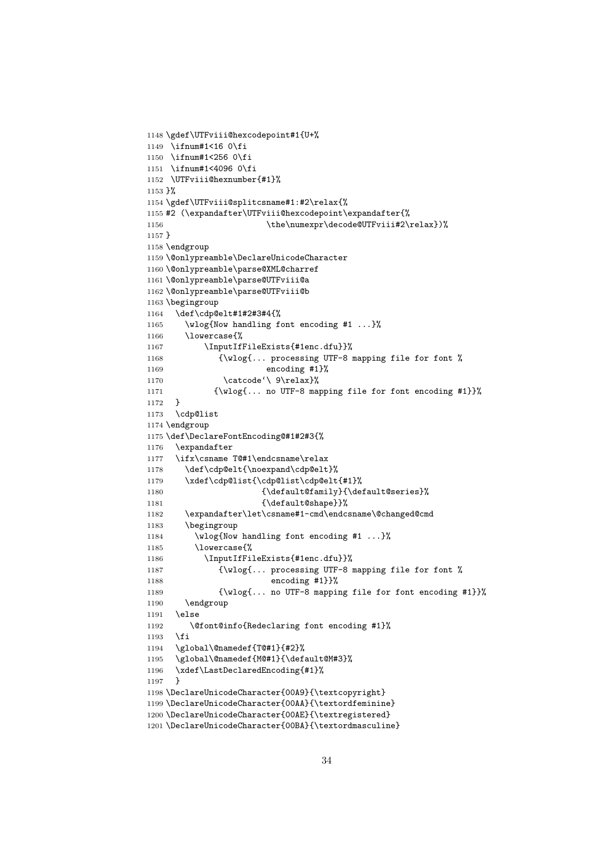```
1148 \gdef\UTFviii@hexcodepoint#1{U+%
1149 \ifnum#1<16 0\fi
1150 \ifnum#1<256 0\fi
1151 \ifnum#1<4096 0\fi
1152 \UTFviii@hexnumber{#1}%
1153 }%
1154 \gdef\UTFviii@splitcsname#1:#2\relax{%
1155 #2 (\expandafter\UTFviii@hexcodepoint\expandafter{%
1156 \the\numexpr\decode@UTFviii#2\relax})%
1157 }
1158 \endgroup
1159 \@onlypreamble\DeclareUnicodeCharacter
1160 \@onlypreamble\parse@XML@charref
1161 \@onlypreamble\parse@UTFviii@a
1162 \@onlypreamble\parse@UTFviii@b
1163 \begingroup
1164 \def\cdp@elt#1#2#3#4{%
1165 \wlog{Now handling font encoding #1 ...}%
1166 \lowercase{%
1167 \InputIfFileExists{#1enc.dfu}}%
1168 {\wlog{... processing UTF-8 mapping file for font %
1169 encoding #1}%
1170 \catcode'\ 9\relax}%
1171 {\wlog{... no UTF-8 mapping file for font encoding #1}}%
1172 }
1173 \cdp@list
1174 \endgroup
1175 \def\DeclareFontEncoding@#1#2#3{%
1176 \expandafter
1177 \ifx\csname T@#1\endcsname\relax
1178 \def\cdp@elt{\noexpand\cdp@elt}%
1179 \xdef\cdp@list{\cdp@list\cdp@elt{#1}%
1180 {\defaultOfamily}{} \defaultOfault@series1181 {\default@shape}}%
1182 \expandafter\let\csname#1-cmd\endcsname\@changed@cmd
1183 \begingroup
1184 \wlog{Now handling font encoding #1 ...}%
1185 \lowercase{%
1186 \InputIfFileExists{#1enc.dfu}}%
1187 {\ulcorner\{\nu\log{...}\} processing UTF-8 mapping file for font %
1188 encoding #1}}%
1189 {\wlog{... no UTF-8 mapping file for font encoding #1}}%
1190 \endgroup
1191 \else
1192 \@font@info{Redeclaring font encoding #1}%
1193 \fi
1194 \global\@namedef{T@#1}{#2}%
1195 \global\@namedef{M@#1}{\default@M#3}%
1196 \xdef\LastDeclaredEncoding{#1}%
1197 }
1198 \DeclareUnicodeCharacter{00A9}{\textcopyright}
1199 \DeclareUnicodeCharacter{00AA}{\textordfeminine}
1200 \DeclareUnicodeCharacter{00AE}{\textregistered}
1201 \DeclareUnicodeCharacter{00BA}{\textordmasculine}
```

```
34
```